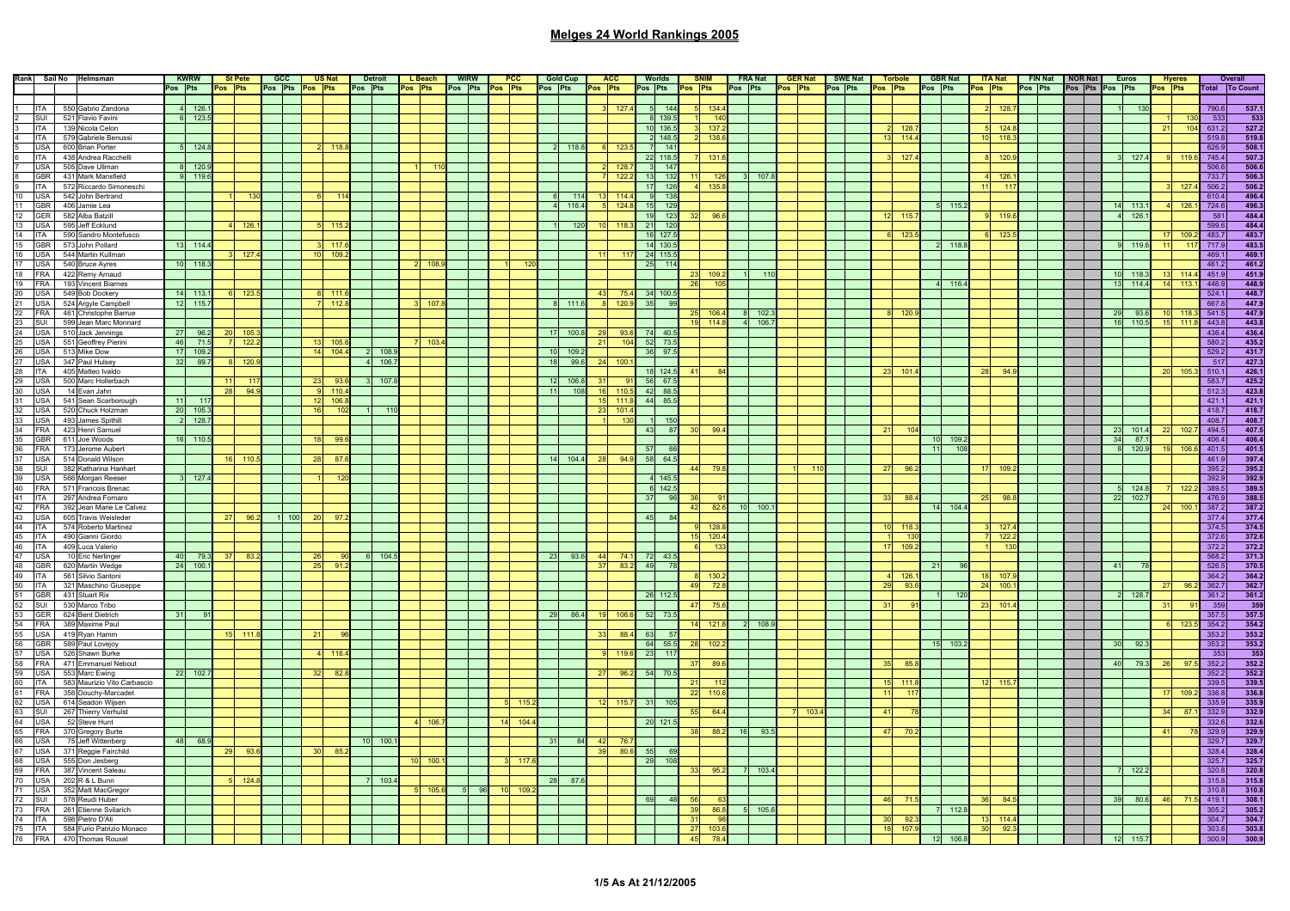|                  | Rank Sail No Helmsman                                                                                                |                 | <b>KWRW</b> |           | <b>St Pete</b> | $CC$ | <b>US Nat</b>   |           | <b>Detroit</b> |       | L Beach | <b>WIRW</b>     | PCC       |     | <b>Gold Cup</b> |         | <b>ACC</b> |                | <b>Worlds</b> | <b>SNIM</b>     |       | <b>FRA Nat</b> | <b>GER Nat</b> |     | <b>SWE Nat</b> |              | <b>Torbole</b> |    | <b>GBR Nat</b>  |         | <b>ITA Nat</b> |         | FIN Nat NOR Nat |                 | <b>Euros</b> |    | <b>Hyeres</b> |       | Overall        |
|------------------|----------------------------------------------------------------------------------------------------------------------|-----------------|-------------|-----------|----------------|------|-----------------|-----------|----------------|-------|---------|-----------------|-----------|-----|-----------------|---------|------------|----------------|---------------|-----------------|-------|----------------|----------------|-----|----------------|--------------|----------------|----|-----------------|---------|----------------|---------|-----------------|-----------------|--------------|----|---------------|-------|----------------|
|                  |                                                                                                                      | Pos Pts         |             |           | Pos Pts        |      | Pos Pts Pos Pts |           | Pos Pts        |       | Pos Pts | Pos Pts Pos Pts |           |     | Pos Pts         | Pos Pts |            |                | Pos Pts       | Pos Pts         |       | Pos Pts        | Pos Pts        |     | Pos Pts        | Pos Pts      |                |    | Pos Pts         | Pos Pts |                | Pos Pts | Pos Pts Pos Pts |                 |              |    | Pos Pts       |       | Total To Count |
|                  |                                                                                                                      |                 |             |           |                |      |                 |           |                |       |         |                 |           |     |                 |         |            |                |               |                 |       |                |                |     |                |              |                |    |                 |         |                |         |                 |                 |              |    |               |       |                |
|                  | 550 Gabrio Zandona                                                                                                   |                 | 126.1       |           |                |      |                 |           |                |       |         |                 |           |     |                 |         | 127        |                | 144           |                 | 134   |                |                |     |                |              |                |    |                 |         | 128.           |         |                 |                 | 130          |    |               | 790.6 | 537.1          |
| <b>ITA</b>       |                                                                                                                      |                 |             |           |                |      |                 |           |                |       |         |                 |           |     |                 |         |            |                |               |                 |       |                |                |     |                |              |                |    |                 |         |                |         |                 |                 |              |    |               |       |                |
| SUI              | 521 Flavio Favini                                                                                                    |                 | 123.5       |           |                |      |                 |           |                |       |         |                 |           |     |                 |         |            |                | 139.5         |                 | 14    |                |                |     |                |              |                |    |                 |         |                |         |                 |                 |              |    |               | 533   | 533            |
| <b>ITA</b>       | 139 Nicola Celon                                                                                                     |                 |             |           |                |      |                 |           |                |       |         |                 |           |     |                 |         |            |                | 10 136.5      |                 | 137.  |                |                |     |                |              | 128.           |    |                 |         | 124.8          |         |                 |                 |              |    |               | 631.2 | 527.2          |
|                  | ITA 579 Gabriele Benussi                                                                                             |                 |             |           |                |      |                 |           |                |       |         |                 |           |     |                 |         |            |                | 2 148.5       |                 | 138.6 |                |                |     |                | 42           | 114.4          |    |                 |         | 118            |         |                 |                 |              |    |               | 519.8 | 519.8          |
|                  | USA 600 Brian Porter                                                                                                 |                 | 124.8       |           |                |      |                 | 118       |                |       |         |                 |           |     | 2 118.8         |         | 123.       |                | $7 - 141$     |                 |       |                |                |     |                |              |                |    |                 |         |                |         |                 |                 |              |    |               | 626.9 | 508.1          |
|                  | ITA 438 Andrea Racchelli                                                                                             |                 |             |           |                |      |                 |           |                |       |         |                 |           |     |                 |         |            |                | 22 118.5      |                 | 131.  |                |                |     |                |              | 127.           |    |                 |         | 120.           |         |                 |                 | 127.4        |    |               | 745.4 | 507.3          |
|                  | USA 505 Dave Ullman                                                                                                  |                 | 120.        |           |                |      |                 |           |                |       |         |                 |           |     |                 |         | 128.7      | $\overline{3}$ | 147           |                 |       |                |                |     |                |              |                |    |                 |         |                |         |                 |                 |              |    |               | 506.6 | 506.6          |
|                  | GBR 431 Mark Mansfield                                                                                               |                 | 119.6       |           |                |      |                 |           |                |       |         |                 |           |     |                 |         | 122.3      | 13             | 132           |                 | 126   | 107.8          |                |     |                |              |                |    |                 |         | 126.7          |         |                 |                 |              |    |               | 733.7 | 506.3          |
|                  |                                                                                                                      |                 |             |           |                |      |                 |           |                |       |         |                 |           |     |                 |         |            |                |               |                 |       |                |                |     |                |              |                |    |                 |         | $-117$         |         |                 |                 |              |    | -127          |       |                |
|                  | 9 ITA 572 Riccardo Simoneschi                                                                                        |                 |             |           |                |      |                 |           |                |       |         |                 |           |     |                 |         |            |                | 17 126        |                 | 135.8 |                |                |     |                |              |                |    |                 |         |                |         |                 |                 |              |    |               | 506.2 | 506.2          |
|                  | 10 USA 542 John Bertrand                                                                                             |                 |             |           |                |      |                 |           |                |       |         |                 |           |     | 114             |         | 114.       | 9              | 138           |                 |       |                |                |     |                |              |                |    |                 |         |                |         |                 |                 |              |    |               | 610.4 | 496.4          |
| 11<br><b>GBR</b> | 406 Jamie Lea                                                                                                        |                 |             |           |                |      |                 |           |                |       |         |                 |           |     | 116.4           |         | 124.8      | 15             | 129           |                 |       |                |                |     |                |              |                |    | 115.2           |         |                |         |                 |                 | 113.1        |    |               | 724.6 | 496.3          |
| 12<br><b>GER</b> | 582 Alba Batzill                                                                                                     |                 |             |           |                |      |                 |           |                |       |         |                 |           |     |                 |         |            | 19             | 123           |                 | 96    |                |                |     |                |              | 115            |    |                 |         | 119.           |         |                 |                 | 126.         |    |               | 581   | 484.4          |
|                  | 13 USA 595 Jeff Ecklund                                                                                              |                 |             |           | 126.           |      |                 | 115       |                |       |         |                 |           |     | 120             |         |            | 21             | 120           |                 |       |                |                |     |                |              |                |    |                 |         |                |         |                 |                 |              |    |               | 599.6 | 484.4          |
|                  | 14 ITA 590 Sandro Montefusco                                                                                         |                 |             |           |                |      |                 |           |                |       |         |                 |           |     |                 |         |            |                | 16 127.5      |                 |       |                |                |     |                |              | 123.           |    |                 |         | 123.           |         |                 |                 |              |    |               | 483.7 | 483.7          |
|                  | 15 GBR 573 John Pollard                                                                                              |                 | 13 114.4    |           |                |      |                 | $3 - 117$ |                |       |         |                 |           |     |                 |         |            |                | 14 130.5      |                 |       |                |                |     |                |              |                |    | 118.8           |         |                |         |                 |                 | 119.6        |    |               | 717.9 | 483.5          |
|                  | 16 USA 544 Martin Kullman                                                                                            |                 |             |           | 127            |      | 10              | 109       |                |       |         |                 |           |     |                 |         |            |                | 24 115.5      |                 |       |                |                |     |                |              |                |    |                 |         |                |         |                 |                 |              |    |               | 469.1 | 469.1          |
|                  |                                                                                                                      |                 |             |           |                |      |                 |           |                |       |         |                 |           |     |                 |         |            |                |               |                 |       |                |                |     |                |              |                |    |                 |         |                |         |                 |                 |              |    |               |       |                |
| 17 USA           | 540 Bruce Ayres                                                                                                      | 10 <sub>1</sub> | 118.3       |           |                |      |                 |           |                |       |         |                 |           |     |                 |         |            | 25             | 114           |                 |       |                |                |     |                |              |                |    |                 |         |                |         |                 |                 |              |    |               | 461.2 | 461.2          |
|                  | 18 FRA 422 Remy Arnaud                                                                                               |                 |             |           |                |      |                 |           |                |       |         |                 |           |     |                 |         |            |                |               | 23              | 109   |                |                |     |                |              |                |    |                 |         |                |         |                 | 10 <sup>1</sup> | $-118.3$     |    |               | 451.9 | 451.9          |
|                  | 19 FRA 193 Vincent Biarnes                                                                                           |                 |             |           |                |      |                 |           |                |       |         |                 |           |     |                 |         |            |                |               | 26              | 10    |                |                |     |                |              |                |    | 116.4           |         |                |         |                 | 13 <sup>1</sup> | 114.4        |    | 113           | 448.9 | 448.9          |
|                  | 20 USA 549 Bob Dockery<br>21 USA 524 Argyle Campbell<br>22 FRA 461 Christophe Barrue<br>23 SUI 599 Jean Marc Monnard |                 | 14 113.1    |           | 123.5          |      |                 | $-111$    |                |       |         |                 |           |     |                 | 43      | 75.4       |                | 34 100.5      |                 |       |                |                |     |                |              |                |    |                 |         |                |         |                 |                 |              |    |               | 524.1 | 448.7          |
|                  |                                                                                                                      | 12              | 115.7       |           |                |      |                 | 112       |                |       |         |                 |           |     | 8 111.6         |         | 120.9      | 35             |               |                 |       |                |                |     |                |              |                |    |                 |         |                |         |                 |                 |              |    |               | 667.8 |                |
|                  |                                                                                                                      |                 |             |           |                |      |                 |           |                |       |         |                 |           |     |                 |         |            |                |               | 25              | 106.4 | 102.3          |                |     |                |              | 120            |    |                 |         |                |         |                 | 29              | 93.6         |    |               | 541.5 | 447.9<br>447.9 |
|                  |                                                                                                                      |                 |             |           |                |      |                 |           |                |       |         |                 |           |     |                 |         |            |                |               | 19 114.8        |       | 4 106.7        |                |     |                |              |                |    |                 |         |                |         |                 |                 | 16 110.5     |    | $-111$        | 443.8 | 443.8          |
|                  | 24 USA 510 Jack Jennings                                                                                             |                 |             |           |                |      |                 |           |                |       |         |                 |           |     |                 |         |            |                |               |                 |       |                |                |     |                |              |                |    |                 |         |                |         |                 |                 |              |    |               |       |                |
|                  |                                                                                                                      | 27              | 96.2        |           | $20$ 105.      |      |                 |           |                |       |         |                 |           |     | 17 100.8        | - 29    | 93.6       |                | 74 40.5       |                 |       |                |                |     |                |              |                |    |                 |         |                |         |                 |                 |              |    |               | 436.4 | 436.4          |
|                  | 25 USA 551 Geoffrey Pierini                                                                                          | 46              | 71.5        |           | 122.3          |      | 13 <sup>1</sup> | 105.      |                |       | 103     |                 |           |     |                 | 21      | 104        |                | 52 73.5       |                 |       |                |                |     |                |              |                |    |                 |         |                |         |                 |                 |              |    |               | 580.2 | 435.2          |
|                  | 26 USA 513 Mike Dow                                                                                                  | 17              | 109.2       |           |                |      | 14              | 104.      |                | 108.9 |         |                 |           |     | 10 109.2        |         |            |                | 36 97.5       |                 |       |                |                |     |                |              |                |    |                 |         |                |         |                 |                 |              |    |               | 529.2 | 431.7          |
|                  | 27 USA 347 Paul Hulsey                                                                                               | 32              | 89.7        |           | 8 120.         |      |                 |           |                | 106.7 |         |                 |           |     | 18 99.6         | 24      | 100.       |                |               |                 |       |                |                |     |                |              |                |    |                 |         |                |         |                 |                 |              |    |               | 517   | 427.3          |
|                  | 28 ITA 405 Matteo Ivaldo                                                                                             |                 |             |           |                |      |                 |           |                |       |         |                 |           |     |                 |         |            |                | 18 124.5      | 41              |       |                |                |     |                |              | 101.           |    |                 | 28      | 94             |         |                 |                 |              |    | 105           | 510.1 | 426.1          |
| 29 USA           | 500 Marc Hollerbach                                                                                                  |                 |             |           | 117            |      | 23              | 93.       |                | 107.8 |         |                 |           | 12  | 106.8           | 31      |            |                | 56 67.5       |                 |       |                |                |     |                |              |                |    |                 |         |                |         |                 |                 |              |    |               | 583.7 | 425.2          |
|                  |                                                                                                                      |                 |             | 28        | 94.9           |      |                 | 110.4     |                |       |         |                 |           | 11  | 108             | 16      | 110        |                | 42 88.5       |                 |       |                |                |     |                |              |                |    |                 |         |                |         |                 |                 |              |    |               | 512.3 | 423.8          |
|                  | 30 USA 14 Evan Jahn<br>31 USA 541 Sean Scarborough                                                                   | 11              |             |           |                |      |                 |           |                |       |         |                 |           |     |                 | 15      |            |                |               |                 |       |                |                |     |                |              |                |    |                 |         |                |         |                 |                 |              |    |               |       |                |
|                  |                                                                                                                      |                 | 117         |           |                |      | 12              | 106.      |                |       |         |                 |           |     |                 |         | 111.       |                | 44 85.5       |                 |       |                |                |     |                |              |                |    |                 |         |                |         |                 |                 |              |    |               | 421.1 | 421.1          |
|                  | 32 USA 520 Chuck Holzman                                                                                             | 20 <sup>1</sup> | 105.3       |           |                |      | 16              | 10        |                | 110   |         |                 |           |     |                 | 23      | 101.       |                |               |                 |       |                |                |     |                |              |                |    |                 |         |                |         |                 |                 |              |    |               | 418.7 | 418.7          |
|                  | 33 USA 493 James Spithill                                                                                            | $\overline{2}$  | 128.7       |           |                |      |                 |           |                |       |         |                 |           |     |                 |         | 13(        |                | $1 \quad 150$ |                 |       |                |                |     |                |              |                |    |                 |         |                |         |                 |                 |              |    |               | 408.7 | 408.7          |
|                  | 34 FRA 423 Henri Samuel                                                                                              |                 |             |           |                |      |                 |           |                |       |         |                 |           |     |                 |         |            | 43             | 87            | 30 <sup>1</sup> | 99.4  |                |                |     |                |              |                |    |                 |         |                |         |                 |                 | 101.4        |    |               | 494.5 | 407.5          |
| 35<br><b>GBR</b> | 611 Joe Woods                                                                                                        |                 | 16 110.5    |           |                |      | 18              | 99.       |                |       |         |                 |           |     |                 |         |            |                |               |                 |       |                |                |     |                |              |                |    | 109.3           |         |                |         |                 | 34              | 87.          |    |               | 406.4 | 406.4          |
|                  |                                                                                                                      |                 |             |           |                |      |                 |           |                |       |         |                 |           |     |                 |         |            | 57             | -66           |                 |       |                |                |     |                |              |                | 11 | 10 <sub>5</sub> |         |                |         |                 |                 | 120.9        |    | 106           | 401.5 | 401.5          |
|                  | 36 FRA 173 Jerome Aubert<br>37 USA 514 Donald Wilson                                                                 |                 |             |           | 6 110.         |      | -28             | 87        |                |       |         |                 |           |     | 14 104.4        | - 28    | 94.9       |                | 58 64.5       |                 |       |                |                |     |                |              |                |    |                 |         |                |         |                 |                 |              |    |               | 461.9 | 397.4          |
| 38 SUI           | 382 Katharina Hanhart                                                                                                |                 |             |           |                |      |                 |           |                |       |         |                 |           |     |                 |         |            |                |               | 44              | 79.   |                |                |     |                | -27          | 96.            |    |                 |         | 109.2          |         |                 |                 |              |    |               | 395.2 | 395.2          |
|                  |                                                                                                                      |                 |             |           |                |      |                 |           |                |       |         |                 |           |     |                 |         |            |                |               |                 |       |                |                |     |                |              |                |    |                 |         |                |         |                 |                 |              |    |               |       |                |
|                  | 39 USA 566 Morgan Reeser<br>40 FRA 571 Francois Brenac<br>41 ITA 297 Andrea Fornaro                                  |                 | 127.4       |           |                |      |                 |           |                |       |         |                 |           |     |                 |         |            |                | 4 145.5       |                 |       |                |                |     |                |              |                |    |                 |         |                |         |                 |                 |              |    |               | 392.9 | 392.9          |
|                  |                                                                                                                      |                 |             |           |                |      |                 |           |                |       |         |                 |           |     |                 |         |            |                | 6 142.        |                 |       |                |                |     |                |              |                |    |                 |         |                |         |                 |                 | 124.8        |    |               | 389.  | 389.5          |
|                  |                                                                                                                      |                 |             |           |                |      |                 |           |                |       |         |                 |           |     |                 |         |            | 37             | 96            | 36              |       |                |                |     |                | 33           | 88             |    |                 | 25      | 98.            |         |                 | -221            | 102.7        |    |               | 476.9 | 388.5          |
|                  | 42 FRA 392 Jean Marie Le Calvez                                                                                      |                 |             |           |                |      |                 |           |                |       |         |                 |           |     |                 |         |            |                |               | 42              | 82.6  | $10$ 100.1     |                |     |                |              |                |    | 14 104.4        |         |                |         |                 |                 |              | 24 | $-100$        | 387.2 | 387.2          |
|                  | 43 USA 605 Travis Weisleder                                                                                          |                 |             | <b>27</b> | 96.2           | 100  | 20              | 97        |                |       |         |                 |           |     |                 |         |            | 45             |               |                 |       |                |                |     |                |              |                |    |                 |         |                |         |                 |                 |              |    |               | 377.4 | 377.4          |
|                  | 44 ITA 574 Roberto Martinez                                                                                          |                 |             |           |                |      |                 |           |                |       |         |                 |           |     |                 |         |            |                |               | 9               | 128   |                |                |     |                |              | 118            |    |                 |         | 127            |         |                 |                 |              |    |               | 374.5 | 374.5          |
|                  | 45 ITA 490 Gianni Giordo                                                                                             |                 |             |           |                |      |                 |           |                |       |         |                 |           |     |                 |         |            |                |               | $15 - 120.4$    |       |                |                |     |                |              | 13             |    |                 |         | 122.2          |         |                 |                 |              |    |               | 372.6 | 372.6          |
|                  | 46 ITA 409 Luca Valerio                                                                                              |                 |             |           |                |      |                 |           |                |       |         |                 |           |     |                 |         |            |                |               |                 | 13    |                |                |     |                |              | 109.           |    |                 |         | 130            |         |                 |                 |              |    |               | 372.2 |                |
|                  |                                                                                                                      |                 |             |           |                |      |                 |           |                |       |         |                 |           |     |                 |         |            |                |               |                 |       |                |                |     |                |              |                |    |                 |         |                |         |                 |                 |              |    |               |       | 372.2          |
| 47 USA           | 10 Eric Nerlinger                                                                                                    | 40              | 79.3        |           | 37 83.2        |      | 26              |           |                | 104.5 |         |                 |           | 23  | 93.6            | 44      | 74.1       |                | 72 43.5       |                 |       |                |                |     |                |              |                |    |                 |         |                |         |                 |                 |              |    |               | 568.2 | 371.3          |
| 48 GBR           | 620 Martin Wedge                                                                                                     | 24              | 100.1       |           |                |      | 25              | 91.       |                |       |         |                 |           |     |                 | 37      | 83.        | 49             | 78            |                 |       |                |                |     |                |              |                | 21 |                 |         |                |         |                 | 41              |              |    |               | 526.5 | 370.5          |
| 49<br><b>ITA</b> | 561 Silvio Santoni                                                                                                   |                 |             |           |                |      |                 |           |                |       |         |                 |           |     |                 |         |            |                |               |                 | 130   |                |                |     |                |              |                |    |                 |         | 107            |         |                 |                 |              |    |               | 364.2 | 364.2          |
|                  |                                                                                                                      |                 |             |           |                |      |                 |           |                |       |         |                 |           |     |                 |         |            |                |               | 49              | 72.8  |                |                |     |                | 20           | 93.6           |    |                 | 24      | 100.7          |         |                 |                 |              |    |               | 362.7 | 362.7          |
|                  | 50 ITA 321 Maschino Giuseppe<br>51 GBR 431 Stuart Rix<br>GBR 431 Stuart Rix                                          |                 |             |           |                |      |                 |           |                |       |         |                 |           |     |                 |         |            |                | 26 112.       |                 |       |                |                |     |                |              |                |    | 12(             |         |                |         |                 |                 | 128.7        |    |               | 361.2 | 361.2          |
|                  | 52 SUI 530 Marco Tribo                                                                                               |                 |             |           |                |      |                 |           |                |       |         |                 |           |     |                 |         |            |                |               | 47              | 75    |                |                |     |                | $\mathbf{3}$ |                |    |                 | 23      | 101            |         |                 |                 |              |    |               | 359   | 359            |
|                  |                                                                                                                      |                 | 91          |           |                |      |                 |           |                |       |         |                 |           | 29  | 86.4            |         | 106.       |                | 52 73.5       |                 |       |                |                |     |                |              |                |    |                 |         |                |         |                 |                 |              |    |               | 357.5 | 357.5          |
|                  | 53 GER 624 Bent Dietrich<br>54 FRA 389 Maxime Paul                                                                   |                 |             |           |                |      |                 |           |                |       |         |                 |           |     |                 |         |            |                |               |                 | 121.  | 108.9          |                |     |                |              |                |    |                 |         |                |         |                 |                 |              |    | 123           | 354.2 | 354.2          |
|                  | 55 USA 419 Ryan Hamm                                                                                                 |                 |             |           |                |      |                 |           |                |       |         |                 |           |     |                 |         |            |                |               |                 |       |                |                |     |                |              |                |    |                 |         |                |         |                 |                 |              |    |               |       |                |
|                  |                                                                                                                      |                 |             |           | $15$ 111.8     |      | 21              |           |                |       |         |                 |           |     |                 |         | 88.4       | 63             | 57            |                 |       |                |                |     |                |              |                |    |                 |         |                |         |                 |                 |              |    |               | 353.2 | 353.2          |
| 56 GBR<br>57 USA | 589 Paul Lovejoy                                                                                                     |                 |             |           |                |      |                 |           |                |       |         |                 |           |     |                 |         |            |                | 64 55.5       | 28 102.         |       |                |                |     |                |              |                | 15 | 103.2           |         |                |         |                 | 30 <sup>2</sup> | 92.3         |    |               | 353.2 | 353.2          |
|                  | 526 Shawn Burke                                                                                                      |                 |             |           |                |      |                 | 116.      |                |       |         |                 |           |     |                 |         | 119        | 23             | $-117$        |                 |       |                |                |     |                |              |                |    |                 |         |                |         |                 |                 |              |    |               | 353   | 353            |
|                  | 58 FRA 471 Emmanuel N<br>59 USA 553 Marc Ewing<br>471 Emmanuel Nebout                                                |                 |             |           |                |      |                 |           |                |       |         |                 |           |     |                 |         |            |                |               |                 | 89    |                |                |     |                |              | 85             |    |                 |         |                |         |                 |                 | 79.3         |    |               | 352.2 | 352.2          |
|                  |                                                                                                                      |                 | 22 102.7    |           |                |      | 32              | 82.1      |                |       |         |                 |           |     |                 | 27      | 96.        |                | 54 70.        |                 |       |                |                |     |                |              |                |    |                 |         |                |         |                 |                 |              |    |               | 352.2 | 352.2          |
|                  | 60   ITA 583 Maurizio Vito Carbascio                                                                                 |                 |             |           |                |      |                 |           |                |       |         |                 |           |     |                 |         |            |                |               | 21              |       |                |                |     |                | 15           | 111            |    |                 |         |                |         |                 |                 |              |    |               | 339.5 | 339.5          |
|                  | 61 FRA 358 Douchy-Marcadet                                                                                           |                 |             |           |                |      |                 |           |                |       |         |                 |           |     |                 |         |            |                |               | $22$ 110.       |       |                |                |     |                | $-11$        | 11             |    |                 |         |                |         |                 |                 |              |    |               | 336.8 | 336.8          |
|                  | 62 USA 614 Seadon Wijsen                                                                                             |                 |             |           |                |      |                 |           |                |       |         |                 | 115       |     |                 | 12      | 115        | 31             |               |                 |       |                |                |     |                |              |                |    |                 |         |                |         |                 |                 |              |    |               | 335.9 | 335.9          |
|                  |                                                                                                                      |                 |             |           |                |      |                 |           |                |       |         |                 |           |     |                 |         |            |                |               |                 |       |                |                |     |                |              |                |    |                 |         |                |         |                 |                 |              |    |               |       |                |
|                  | 63 SUI 267 Thierry Verhulst                                                                                          |                 |             |           |                |      |                 |           |                |       |         |                 |           |     |                 |         |            |                |               |                 | 64.4  |                |                | 103 |                |              |                |    |                 |         |                |         |                 |                 |              |    |               | 332.9 | 332.9          |
|                  | 64 USA 52 Steve Hunt                                                                                                 |                 |             |           |                |      |                 |           |                |       | 106.    |                 | $14$ 104. |     |                 |         |            |                | 20 121.5      |                 |       |                |                |     |                |              |                |    |                 |         |                |         |                 |                 |              |    |               | 332.6 | 332.6          |
|                  | 65 FRA 370 Gregory Burte                                                                                             |                 |             |           |                |      |                 |           |                |       |         |                 |           |     |                 |         |            |                |               | 38              | 88.2  | 93.5<br>- 16   |                |     |                | 47           | 70.            |    |                 |         |                |         |                 |                 |              |    |               | 329.9 | 329.9          |
| 66 USA           | 75 Jeff Wittenberg                                                                                                   | 48              | 68.9        |           |                |      |                 |           |                | 100.1 |         |                 |           | -31 | 84              | 42      | 76.        |                |               |                 |       |                |                |     |                |              |                |    |                 |         |                |         |                 |                 |              |    |               | 329.7 | 329.7          |
| 67 USA           | 371 Reggie Fairchild                                                                                                 |                 |             | 29        | 93.6           |      | 30              | 85.2      |                |       |         |                 |           |     |                 | 39      | 80.6       | 55             |               |                 |       |                |                |     |                |              |                |    |                 |         |                |         |                 |                 |              |    |               | 328.4 | 328.4          |
| 68<br><b>USA</b> | 555 Don Jesberg                                                                                                      |                 |             |           |                |      |                 |           |                |       | 100.    |                 |           |     |                 |         |            | 29             | 101           |                 |       |                |                |     |                |              |                |    |                 |         |                |         |                 |                 |              |    |               | 325.7 | 325.7          |
|                  | 69 FRA 387 Vincent Saleau                                                                                            |                 |             |           |                |      |                 |           |                |       |         |                 |           |     |                 |         |            |                |               | 33              | 95.   | 103.4          |                |     |                |              |                |    |                 |         |                |         |                 |                 | 122.2        |    |               | 320.8 | 320.8          |
|                  | 70 USA 202 R & L Bunn                                                                                                |                 |             |           | $5 - 124.8$    |      |                 |           |                | 103.4 |         |                 |           |     | 28 87.6         |         |            |                |               |                 |       |                |                |     |                |              |                |    |                 |         |                |         |                 |                 |              |    |               | 315.8 | 315.8          |
|                  |                                                                                                                      |                 |             |           |                |      |                 |           |                |       |         |                 |           |     |                 |         |            |                |               |                 |       |                |                |     |                |              |                |    |                 |         |                |         |                 |                 |              |    |               |       |                |
|                  | 71 USA 352 Matt MacGregor                                                                                            |                 |             |           |                |      |                 |           |                |       | 105.    |                 | 109       |     |                 |         |            |                |               |                 |       |                |                |     |                |              |                |    |                 |         |                |         |                 |                 |              |    |               | 310.8 | 310.8          |
| 72 SUI           | 578 Reudi Huber                                                                                                      |                 |             |           |                |      |                 |           |                |       |         |                 |           |     |                 |         |            | 69             |               | 56              |       |                |                |     |                |              |                |    |                 |         |                |         |                 |                 | 80.6         |    |               | 419.1 | 308.1          |
|                  | 73 FRA 261 Etienne Svilarich                                                                                         |                 |             |           |                |      |                 |           |                |       |         |                 |           |     |                 |         |            |                |               | 39              | 86.   | 105.6          |                |     |                |              |                |    | 112.8           |         |                |         |                 |                 |              |    |               | 305.2 | 305.2          |
|                  |                                                                                                                      |                 |             |           |                |      |                 |           |                |       |         |                 |           |     |                 |         |            |                |               | 31              |       |                |                |     |                |              | 92             |    |                 |         | 114.           |         |                 |                 |              |    |               | 304.7 | 304.7          |
|                  |                                                                                                                      |                 |             |           |                |      |                 |           |                |       |         |                 |           |     |                 |         |            |                |               | 27              | 103.  |                |                |     |                |              | 107.           |    |                 |         | 92.            |         |                 |                 |              |    |               | 303.8 | 303.8          |
|                  | 74 ITA 598 Pietro D'Ali<br>75 ITA 584 Furio Patrizio Monaco<br>76 FRA 470 Thomas Rouxel                              |                 |             |           |                |      |                 |           |                |       |         |                 |           |     |                 |         |            |                |               | 45              |       |                |                |     |                |              |                |    | 106.            |         |                |         |                 |                 |              |    |               | 300.9 | 300.9          |
|                  |                                                                                                                      |                 |             |           |                |      |                 |           |                |       |         |                 |           |     |                 |         |            |                |               |                 |       |                |                |     |                |              |                |    |                 |         |                |         |                 |                 |              |    |               |       |                |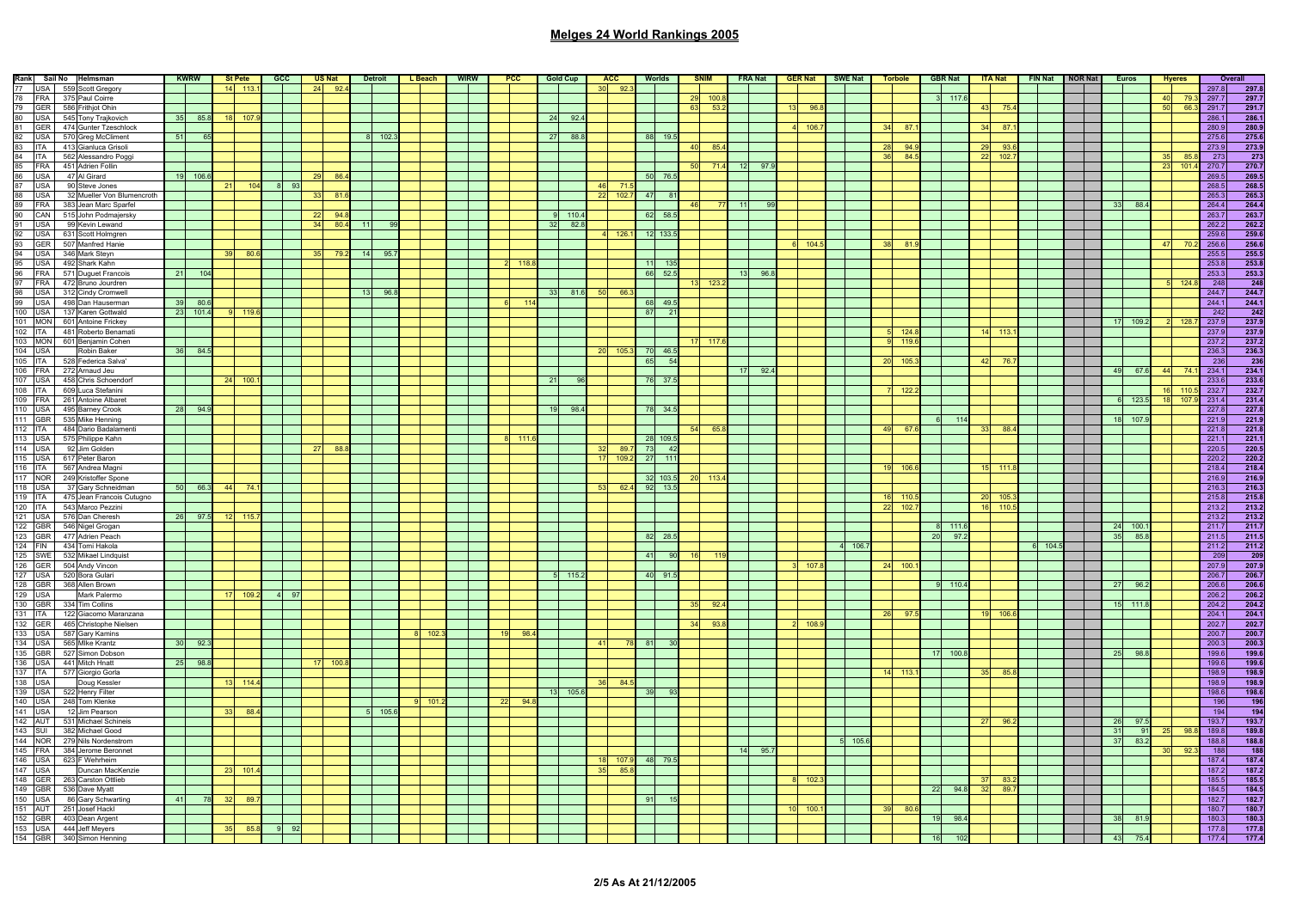| Rank Sail No Helmsman                                    |                 | <b>KWRW</b> |    | <b>St Pete</b> | $CC$ |      | <b>US Nat</b> |       | <b>Detroit</b> | L Beach | <b>WIRW</b> | PCC       | <b>Gold Cup</b>      |                 | <b>ACC</b> | <b>Worlds</b>         |    | <b>SNIM</b> | FRA Nat |      | <b>GER Nat</b> | SWE Nat     | <b>Torbole</b> |       | <b>GBR Nat</b> |           | <b>ITA Nat</b> | FIN Nat NOR Nat |  | <b>Euros</b>    |          | <b>Hveres</b> |                | Overall             |
|----------------------------------------------------------|-----------------|-------------|----|----------------|------|------|---------------|-------|----------------|---------|-------------|-----------|----------------------|-----------------|------------|-----------------------|----|-------------|---------|------|----------------|-------------|----------------|-------|----------------|-----------|----------------|-----------------|--|-----------------|----------|---------------|----------------|---------------------|
| 77 USA 559 Scott Gregory                                 |                 |             |    | $14$ 113.      |      |      | $24$ 92.4     |       |                |         |             |           |                      | 30 <sup>1</sup> | 92.        |                       |    |             |         |      |                |             |                |       |                |           |                |                 |  |                 |          |               | 297.8          | 297.8               |
| 78 FRA<br>375 Paul Coirre                                |                 |             |    |                |      |      |               |       |                |         |             |           |                      |                 |            |                       | 29 | 100         |         |      |                |             |                |       | 117.6          |           |                |                 |  |                 | 40       | 79.           | 297.7          | 297.7               |
| 79 GER<br>586 Frithjot Ohin                              |                 |             |    |                |      |      |               |       |                |         |             |           |                      |                 |            |                       | 63 | 53.         |         |      | 96             |             |                |       |                |           | 75.            |                 |  |                 |          | 66            | 291.7          | 291.7               |
| 80 USA<br>545 Tony Trajkovich                            | 35              | 85.8        |    | 18 107         |      |      |               |       |                |         |             |           | 24<br>92.            |                 |            |                       |    |             |         |      |                |             |                |       |                |           |                |                 |  |                 |          |               | 286.1          | 286.1               |
| 81 GER<br>474 Gunter Tzeschlock                          |                 |             |    |                |      |      |               |       |                |         |             |           |                      |                 |            |                       |    |             |         |      | 4 106.7        |             | 34             | 87.   |                | 34        | 87             |                 |  |                 |          |               | 280.9          | 280.9               |
| 82 USA<br>570 Greg McCliment                             | 51              | 65          |    |                |      |      |               |       | 102.3          |         |             |           | 27 88.8              |                 |            | 88 19.5               |    | 85          |         |      |                |             |                |       |                |           |                |                 |  |                 |          |               | 275.6          | 275.6               |
| 83 ITA<br>413 Gianluca Grisoli                           |                 |             |    |                |      |      |               |       |                |         |             |           |                      |                 |            |                       |    |             |         |      |                |             |                | 94.   |                | 29        | Q3             |                 |  |                 |          |               | 273.9          | 273.9               |
| 84 ITA<br>562 Alessandro Poggi                           |                 |             |    |                |      |      |               |       |                |         |             |           |                      |                 |            |                       | 50 | 71.4        |         | 97.9 |                |             |                | 84.5  |                | 22        | 102.           |                 |  |                 |          | 23 101        | 273<br>270.7   | 273<br>270.7        |
| 85 FRA<br>451 Adrien Follin<br>86 USA<br>47 Al Girard    |                 | 19 106.6    |    |                |      |      | -29<br>- 86.  |       |                |         |             |           |                      |                 |            |                       |    |             | -121    |      |                |             |                |       |                |           |                |                 |  |                 |          |               | 269.5          | 269.5               |
| 87 USA<br>90 Steve Jones                                 |                 |             | 21 |                |      | $-9$ |               |       |                |         |             |           |                      |                 | 71         | 50 76.5               |    |             |         |      |                |             |                |       |                |           |                |                 |  |                 |          |               | 268.5          | 268.5               |
| 88 USA<br>32 Mueller Von Blumencroth                     |                 |             |    |                |      |      | 81            |       |                |         |             |           |                      | 22              | 102.       | 47<br>81              |    |             |         |      |                |             |                |       |                |           |                |                 |  |                 |          |               | 265.3          | 265.3               |
| 89 FRA<br>383 Jean Marc Sparfel                          |                 |             |    |                |      |      |               |       |                |         |             |           |                      |                 |            |                       |    |             |         |      |                |             |                |       |                |           |                |                 |  | 88.4<br>33      |          |               | 264.4          | 264.4               |
| 90 CAN 515 John Podmajersky                              |                 |             |    |                |      |      | 22<br>94.8    |       |                |         |             |           | $9 - 110.4$          |                 |            | 62 58.5               |    |             |         |      |                |             |                |       |                |           |                |                 |  |                 |          |               | 263.7          | 263.7               |
| 91 USA<br>99 Kevin Lewand                                |                 |             |    |                |      |      | 34<br>80.4    | $-11$ | -99            |         |             |           | 32 82.8              |                 |            |                       |    |             |         |      |                |             |                |       |                |           |                |                 |  |                 |          |               | 262.2          | 262.2               |
| 92 USA<br>631 Scott Holmgren                             |                 |             |    |                |      |      |               |       |                |         |             |           |                      |                 | 126        | 12 133.5              |    |             |         |      |                |             |                |       |                |           |                |                 |  |                 |          |               | 259.6          | 259.6               |
| 93 GER<br>507 Manfred Hanie                              |                 |             |    |                |      |      |               |       |                |         |             |           |                      |                 |            |                       |    |             |         |      | 104.           |             |                | 81.   |                |           |                |                 |  |                 |          |               | 256.6          | 256.6               |
| 94 USA<br>346 Mark Steyn                                 |                 |             |    | $39$ 80.       |      |      | 79.           | 14    | 95.            |         |             |           |                      |                 |            |                       |    |             |         |      |                |             |                |       |                |           |                |                 |  |                 |          |               | 255.5          | 255.5               |
| 95 USA<br>492 Shark Kahn                                 |                 |             |    |                |      |      |               |       |                |         |             | 118.8     |                      |                 |            | 11 135                |    |             |         |      |                |             |                |       |                |           |                |                 |  |                 |          |               | 253.8          | 253.8               |
| 96 FRA<br>571 Duguet Francois                            | - 21            | 104         |    |                |      |      |               |       |                |         |             |           |                      |                 |            | 66 52.5               |    |             | 13      | 96.8 |                |             |                |       |                |           |                |                 |  |                 |          |               | 253.3          | 253.3               |
| 97 FRA<br>472 Bruno Jourdren                             |                 |             |    |                |      |      |               |       |                |         |             |           |                      |                 |            |                       | 49 | 123.        |         |      |                |             |                |       |                |           |                |                 |  |                 |          | 124           | 248            | $\frac{248}{244.7}$ |
| 98 USA<br>312 Cindy Cromwell                             |                 |             |    |                |      |      |               | 13    | 96.8           |         |             |           | 33 81.6              | 50              | 66.        |                       |    |             |         |      |                |             |                |       |                |           |                |                 |  |                 |          |               | 244.7          |                     |
| 99 USA<br>498 Dan Hauserman                              |                 | 39 80.6     |    |                |      |      |               |       |                |         |             | 114       |                      |                 |            | 68 49.5               |    |             |         |      |                |             |                |       |                |           |                |                 |  |                 |          |               | 244.1          | 244.1               |
| 100 USA<br>137 Karen Gottwald                            |                 | 23 101.4    |    | $9 - 119$      |      |      |               |       |                |         |             |           |                      |                 |            | 87<br>$\overline{21}$ |    |             |         |      |                |             |                |       |                |           |                |                 |  |                 |          |               | 242            | 242                 |
| 101 MON<br>601 Antoine Frickey                           |                 |             |    |                |      |      |               |       |                |         |             |           |                      |                 |            |                       |    |             |         |      |                |             |                |       |                |           |                |                 |  | 109.2<br>17     |          | 128           | 237.9          | 237.9               |
| 102 ITA<br>481 Roberto Benamati                          |                 |             |    |                |      |      |               |       |                |         |             |           |                      |                 |            |                       |    |             |         |      |                |             |                | 124.  |                |           | 113.           |                 |  |                 |          |               | 237.9          | 237.9               |
| 103 MON<br>601 Benjamin Cohen                            |                 |             |    |                |      |      |               |       |                |         |             |           |                      |                 |            |                       |    | 17 117.     |         |      |                |             |                | 119.6 |                |           |                |                 |  |                 |          |               | 237.2          | 237.2               |
| 104 USA<br>Robin Baker                                   | 36              | 84.5        |    |                |      |      |               |       |                |         |             |           |                      | -20             | 105.       | 70 46.5               |    |             |         |      |                |             |                |       |                |           |                |                 |  |                 |          |               | 236.3          | 236.3               |
| 105 ITA<br>528 Federica Salva'                           |                 |             |    |                |      |      |               |       |                |         |             |           |                      |                 |            | 65<br>54              |    |             |         |      |                |             |                | 105   |                | 42        | 76.7           |                 |  | $\overline{AQ}$ |          |               | 236            | 236                 |
| 106 FRA<br>272 Arnaud Jeu                                |                 |             |    |                |      |      |               |       |                |         |             |           |                      |                 |            |                       |    |             | 17      | 92.4 |                |             |                |       |                |           |                |                 |  | 67.6            |          |               | 234.1          | 234.1               |
| 107 USA 458 Chris Schoendorf                             |                 |             |    | 24 100.        |      |      |               |       |                |         |             |           | 21<br>Q <sub>6</sub> |                 |            | 76 37.5               |    |             |         |      |                |             |                |       |                |           |                |                 |  |                 |          | $16$ $110$    | 233.6          | 233.6               |
| 108 ITA<br>609 Luca Stefanini<br>261 Antoine Albaret     |                 |             |    |                |      |      |               |       |                |         |             |           |                      |                 |            |                       |    |             |         |      |                |             | 122.3          |       |                |           |                |                 |  | 123.5           | 18       | 107           | 232.7<br>231.4 | 232.7               |
| 109 FRA<br>110 USA<br>495 Barney Crook                   | - 28            | 94.9        |    |                |      |      |               |       |                |         |             |           | 19<br>98.4           |                 |            | 78 34.5               |    |             |         |      |                |             |                |       |                |           |                |                 |  |                 |          |               | 227.8          | 231.4<br>227.8      |
| 111 GBR<br>535 Mike Henning                              |                 |             |    |                |      |      |               |       |                |         |             |           |                      |                 |            |                       |    |             |         |      |                |             |                |       | 114            |           |                |                 |  | 107.9<br>18     |          |               | 221.9          | 221.9               |
| 112   ITA  <br>484 Dario Badalamenti                     |                 |             |    |                |      |      |               |       |                |         |             |           |                      |                 |            |                       | 54 | 65.         |         |      |                |             | 49             | 67.   |                |           | 88.4           |                 |  |                 |          |               | 221.8          | 221.8               |
| 113 USA<br>575 Philippe Kahn                             |                 |             |    |                |      |      |               |       |                |         |             | -111.     |                      |                 |            | 28 109.5              |    |             |         |      |                |             |                |       |                |           |                |                 |  |                 |          |               | 221.1          | 221.1               |
| 114 USA<br>92 Jim Golden                                 |                 |             |    |                |      |      | 88.           |       |                |         |             |           |                      |                 | 89.7       | 73<br>$-42$           |    |             |         |      |                |             |                |       |                |           |                |                 |  |                 |          |               | 220.5          | 220.5               |
| 115 USA<br>617 Peter Baron                               |                 |             |    |                |      |      |               |       |                |         |             |           |                      | 17              | 109.3      | 27<br>11'             |    |             |         |      |                |             |                |       |                |           |                |                 |  |                 |          |               | 220.2          | 220.2               |
| 116 ITA 567 Andrea Magni                                 |                 |             |    |                |      |      |               |       |                |         |             |           |                      |                 |            |                       |    |             |         |      |                |             |                | 106.  |                |           |                |                 |  |                 |          |               | 218.4          | 218.4               |
| 117 NOR 249 Kristoffer Spone                             |                 |             |    |                |      |      |               |       |                |         |             |           |                      |                 |            | 32 103.5              | 20 | 113         |         |      |                |             |                |       |                |           |                |                 |  |                 |          |               | 216.9          | 216.9               |
| 118 USA<br>37 Gary Schneidman                            |                 | 50 66.3     |    | 44 74          |      |      |               |       |                |         |             |           |                      | $-53$           | 62.4       | 92 13.5               |    |             |         |      |                |             |                |       |                |           |                |                 |  |                 |          |               | 216.3          | 216.3               |
| 119 ITA<br>475 Jean Francois Cutugno                     |                 |             |    |                |      |      |               |       |                |         |             |           |                      |                 |            |                       |    |             |         |      |                |             | 110            |       |                | <b>20</b> | 105.           |                 |  |                 |          |               | 215.8          | 215.8               |
| 543 Marco Pezzini<br>120 ITA                             |                 |             |    |                |      |      |               |       |                |         |             |           |                      |                 |            |                       |    |             |         |      |                |             | 22             | 102.  |                | 16        | 110.5          |                 |  |                 |          |               | 213.2          | 213.2               |
| 121 USA 576 Dan Cheresh                                  |                 | 26 97.5     |    | $12$ 115.      |      |      |               |       |                |         |             |           |                      |                 |            |                       |    |             |         |      |                |             |                |       |                |           |                |                 |  |                 |          |               | 213.2          | 213.2               |
| 122 GBR<br>546 Nigel Grogan                              |                 |             |    |                |      |      |               |       |                |         |             |           |                      |                 |            |                       |    |             |         |      |                |             |                |       | 111.6          |           |                |                 |  | 24<br>100.      |          |               | 211.7          | 211.7               |
| 123 GBR<br>477 Adrien Peach                              |                 |             |    |                |      |      |               |       |                |         |             |           |                      |                 |            | 82 28.5               |    |             |         |      |                |             |                | 20    | 97.2           |           |                |                 |  | 35<br>85.       |          |               | 211.5          | 211.5               |
| 124 FIN<br>434 Tomi Hakola                               |                 |             |    |                |      |      |               |       |                |         |             |           |                      |                 |            |                       |    |             |         |      |                | 4 106.7     |                |       |                |           |                | 6 104.5         |  |                 |          |               | 211.2          | 211.2               |
| 125 SWE<br>532 Mikael Lindquist                          |                 |             |    |                |      |      |               |       |                |         |             |           |                      |                 |            | 90<br>41              | 16 |             |         |      |                |             |                |       |                |           |                |                 |  |                 |          |               | 209            | 209                 |
| 126 GER<br>504 Andy Vincon                               |                 |             |    |                |      |      |               |       |                |         |             |           |                      |                 |            |                       |    |             |         |      | 107            |             | 24             | 100.  |                |           |                |                 |  |                 |          |               | 207.9          | 207.9               |
| 127 USA<br>520 Bora Gulari                               |                 |             |    |                |      |      |               |       |                |         |             |           | 5 115.2              |                 |            | 40 91.5               |    |             |         |      |                |             |                |       |                |           |                |                 |  |                 |          |               | 206.7          | 206.7               |
| 128 GBR<br>368 Allen Brown                               |                 |             |    |                |      |      |               |       |                |         |             |           |                      |                 |            |                       |    |             |         |      |                |             |                |       | 110.4          |           |                |                 |  | 27<br>96.       |          |               | 206.6          | 206.6               |
| 129 USA<br>Mark Palermo                                  |                 |             |    | 17 109.2       | 4 97 |      |               |       |                |         |             |           |                      |                 |            |                       |    |             |         |      |                |             |                |       |                |           |                |                 |  |                 |          |               | 206.2          | 206.2               |
| 130 GBR<br>334 Tim Collins                               |                 |             |    |                |      |      |               |       |                |         |             |           |                      |                 |            |                       | 35 | 92.         |         |      |                |             |                |       |                |           |                |                 |  | $-111.3$<br>15  |          |               | 204.2          | 204.2               |
| 131 ITA<br>122 Giacomo Maranzana                         |                 |             |    |                |      |      |               |       |                |         |             |           |                      |                 |            |                       |    | 93          |         |      |                |             |                | 97    |                |           | 106.           |                 |  |                 |          |               | 204.1          | 204.1               |
| 132 GER<br>465 Christophe Nielsen                        |                 |             |    |                |      |      |               |       |                | 102.    |             | 98.       |                      |                 |            |                       |    |             |         |      |                |             |                |       |                |           |                |                 |  |                 |          |               | 202.7          | 202.7               |
| 133 USA<br>587 Gary Kamins<br>134 USA<br>565 Mike Krantz | 30 <sup>°</sup> | 92.3        |    |                |      |      |               |       |                |         |             |           |                      | 41              |            | 81                    |    |             |         |      |                |             |                |       |                |           |                |                 |  |                 |          |               | 200.7<br>200.3 | 200.7<br>200.3      |
| 135 GBR<br>527 Simon Dobson                              |                 |             |    |                |      |      |               |       |                |         |             |           |                      |                 |            |                       |    |             |         |      |                |             |                |       | 17 100.8       |           |                |                 |  | 25<br>98.       |          |               | 199.6          | 199.6               |
| 136 USA<br>441 Mitch Hnatt                               | 25              | 98.8        |    |                |      |      | 100           |       |                |         |             |           |                      |                 |            |                       |    |             |         |      |                |             |                |       |                |           |                |                 |  |                 |          |               | 199.6          | 199.6               |
| 137 ITA<br>577 Giorgio Gorla                             |                 |             |    |                |      |      |               |       |                |         |             |           |                      |                 |            |                       |    |             |         |      |                |             | 113.<br>14     |       |                |           | 85.            |                 |  |                 |          |               | 198.9          | 198.9               |
| 138 USA<br>Doug Kessler                                  |                 |             |    | 13 114 4       |      |      |               |       |                |         |             |           |                      | 36              | 84.        |                       |    |             |         |      |                |             |                |       |                |           |                |                 |  |                 |          |               | 198.9          | 198.9               |
| 139 USA<br>522 Henry Filter                              |                 |             |    |                |      |      |               |       |                |         |             |           | 13 105.6             |                 |            | 39<br>93              |    |             |         |      |                |             |                |       |                |           |                |                 |  |                 |          |               | 198.6          | 198.6               |
| 140 USA<br>248 Tom Klenke                                |                 |             |    |                |      |      |               |       |                | 101.    |             | 22<br>94. |                      |                 |            |                       |    |             |         |      |                |             |                |       |                |           |                |                 |  |                 |          |               | 196            |                     |
| 141 USA<br>12 Jim Pearson                                |                 |             |    | 88.            |      |      |               |       | 105.6          |         |             |           |                      |                 |            |                       |    |             |         |      |                |             |                |       |                |           |                |                 |  |                 |          |               | 194            | $\frac{196}{194}$   |
| 142 AUT 531 Michael Schineis                             |                 |             |    |                |      |      |               |       |                |         |             |           |                      |                 |            |                       |    |             |         |      |                |             |                |       |                |           | 96.            |                 |  | -26<br>97.5     |          |               | 193.7          | 193.7               |
| 143 SUI 382 Michael Good                                 |                 |             |    |                |      |      |               |       |                |         |             |           |                      |                 |            |                       |    |             |         |      |                |             |                |       |                |           |                |                 |  | 31              | 91<br>25 |               | 189.8          | 189.8               |
| 144 NOR 279 Nils Nordenstrom                             |                 |             |    |                |      |      |               |       |                |         |             |           |                      |                 |            |                       |    |             |         |      |                | $5 - 105.6$ |                |       |                |           |                |                 |  | 37<br>83.2      |          |               | 188.8          | 188.8               |
| 145 FRA<br>384 Jerome Beronnet                           |                 |             |    |                |      |      |               |       |                |         |             |           |                      |                 |            |                       |    |             | 14      | 95.7 |                |             |                |       |                |           |                |                 |  |                 |          |               | $-188$         | 188                 |
| $146$ USA<br>623 F Wehrheim                              |                 |             |    |                |      |      |               |       |                |         |             |           |                      |                 | 107.       | 48 79.5               |    |             |         |      |                |             |                |       |                |           |                |                 |  |                 |          |               | 187.4          | 187.4               |
| 147 USA<br>Duncan MacKenzie                              |                 |             |    | $23$ 101.      |      |      |               |       |                |         |             |           |                      | 35              | 85.8       |                       |    |             |         |      |                |             |                |       |                |           |                |                 |  |                 |          |               | 187.2          | 187.2               |
| 148 GER 263 Carston Ottlieb                              |                 |             |    |                |      |      |               |       |                |         |             |           |                      |                 |            |                       |    |             |         |      | 8 102          |             |                |       |                |           | -83.2          |                 |  |                 |          |               | 185.5          | 185.5               |
| 149 GBR<br>536 Dave Myatt                                |                 |             |    |                |      |      |               |       |                |         |             |           |                      |                 |            |                       |    |             |         |      |                |             |                | 22    | 94.8           | 32        | 89             |                 |  |                 |          |               | 184.5          | 184.5               |
| 150 USA<br>86 Gary Schwarting                            | 41              | 78          | 32 | 89             |      |      |               |       |                |         |             |           |                      |                 |            |                       |    |             |         |      |                |             |                |       |                |           |                |                 |  |                 |          |               | 182.7          | 182.7               |
| 151 AUT 251 Josef Hackl                                  |                 |             |    |                |      |      |               |       |                |         |             |           |                      |                 |            |                       |    |             |         |      | 100.           |             |                | 80    |                |           |                |                 |  |                 |          |               | 180.7          | 180.7               |
| 152 GBR<br>403 Dean Argent                               |                 |             |    |                |      |      |               |       |                |         |             |           |                      |                 |            |                       |    |             |         |      |                |             |                | 19    | 98.4           |           |                |                 |  | 81.             |          |               | 180.3          | 180.3               |
| 153 USA<br>444 Jeff Meyers                               |                 |             |    | 85             |      |      |               |       |                |         |             |           |                      |                 |            |                       |    |             |         |      |                |             |                |       |                |           |                |                 |  |                 |          |               | 177.8          | 177.8               |
| 154 GBR<br>340 Simon Henning                             |                 |             |    |                |      |      |               |       |                |         |             |           |                      |                 |            |                       |    |             |         |      |                |             |                |       |                |           |                |                 |  |                 |          |               | 177.4          | 177.4               |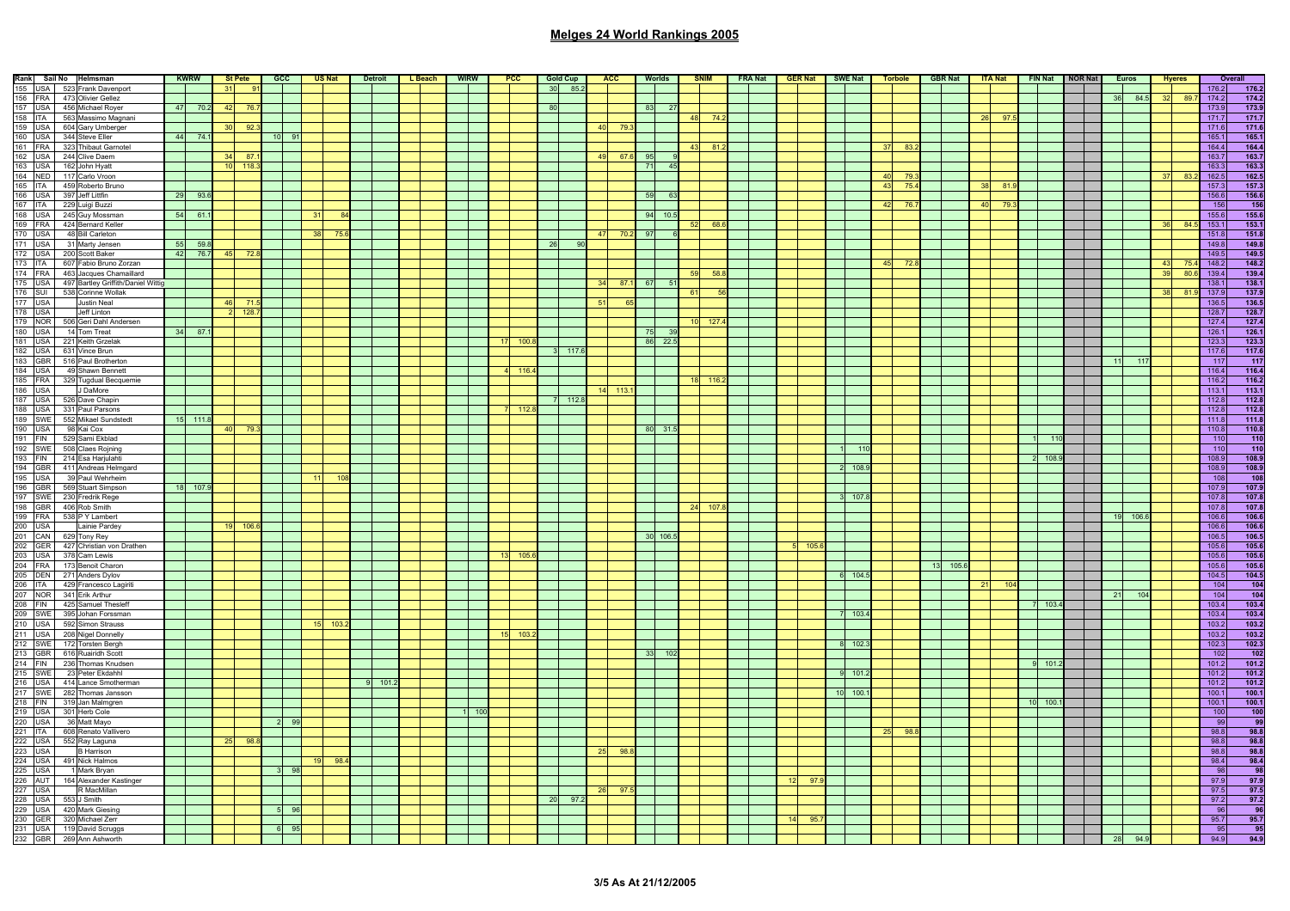| Rank Sail No Helmsman<br>156 USA 523 Frank Davenport<br>166 FRA 473 Olivier Gellez<br>157 USA 456 Michael Royer<br>157 USA 456 Michael Royer<br>167 USA 604 Gary Umberger<br>169 USA 323 Thibaut Garnotel<br>162 USA 244 Gleve Eller<br>168 USA 162 Jo                                                                                                                                                      |       | <b>KWRW</b> |       | St Pete | $CC$            |      | US Nat                  | <b>Detroit</b> | L Beach | <b>WIRW</b> | PCC |            | <b>Gold Cup</b>         | <b>ACC</b>    | <b>Worlds</b>   |       |        | <b>SNIM</b> | <b>FRA Nat</b> |                 | <b>GER Nat SWE Nat Torbole</b> |       |     |      |       |       | GBR Nat   ITA Nat |          | FIN Nat NOR Nat |    | Euros    | <b>Hveres</b>                |        | Overall             |
|-------------------------------------------------------------------------------------------------------------------------------------------------------------------------------------------------------------------------------------------------------------------------------------------------------------------------------------------------------------------------------------------------------------|-------|-------------|-------|---------|-----------------|------|-------------------------|----------------|---------|-------------|-----|------------|-------------------------|---------------|-----------------|-------|--------|-------------|----------------|-----------------|--------------------------------|-------|-----|------|-------|-------|-------------------|----------|-----------------|----|----------|------------------------------|--------|---------------------|
|                                                                                                                                                                                                                                                                                                                                                                                                             |       |             | $-31$ | 91      |                 |      |                         |                |         |             |     |            | 30 85.2                 |               |                 |       |        |             |                |                 |                                |       |     |      |       |       |                   |          |                 |    |          |                              | 176.2  | 176.2               |
|                                                                                                                                                                                                                                                                                                                                                                                                             |       |             |       |         |                 |      |                         |                |         |             |     |            |                         |               |                 |       |        |             |                |                 |                                |       |     |      |       |       |                   |          |                 |    | 36 84.5  | 89.                          | 174.2  | 174.2               |
|                                                                                                                                                                                                                                                                                                                                                                                                             | $-47$ | 70.2        | 42    | 76      |                 |      |                         |                |         |             |     |            | 80                      |               | 83              | - 27  |        |             |                |                 |                                |       |     |      |       |       |                   |          |                 |    |          |                              | 173.9  | 173.9               |
| 563 Massimo Magnani                                                                                                                                                                                                                                                                                                                                                                                         |       |             |       |         |                 |      |                         |                |         |             |     |            |                         |               |                 |       |        | 74.2        |                |                 |                                |       |     |      |       |       | 97.               |          |                 |    |          |                              | 171.7  | 171.7               |
|                                                                                                                                                                                                                                                                                                                                                                                                             |       |             | 30    | 92.3    |                 |      |                         |                |         |             |     |            |                         | 40<br>79.3    |                 |       |        |             |                |                 |                                |       |     |      |       |       |                   |          |                 |    |          |                              | 171.6  | 171.6               |
|                                                                                                                                                                                                                                                                                                                                                                                                             |       | 44 74.1     |       |         | 10 <sup>1</sup> | – Q∙ |                         |                |         |             |     |            |                         |               |                 |       |        |             |                |                 |                                |       |     |      |       |       |                   |          |                 |    |          |                              | 165.1  | 165.1               |
|                                                                                                                                                                                                                                                                                                                                                                                                             |       |             |       |         |                 |      |                         |                |         |             |     |            |                         |               |                 |       | 43     | 81          |                |                 |                                |       | 37  | 83.  |       |       |                   |          |                 |    |          |                              | 164.4  | 164.4               |
|                                                                                                                                                                                                                                                                                                                                                                                                             |       |             |       | 87.     |                 |      |                         |                |         |             |     |            |                         | 67.6<br>49    | 95              |       |        |             |                |                 |                                |       |     |      |       |       |                   |          |                 |    |          |                              | 163.   | 163.7               |
|                                                                                                                                                                                                                                                                                                                                                                                                             |       |             |       | 118.3   |                 |      |                         |                |         |             |     |            |                         |               | 71              | - 45  |        |             |                |                 |                                |       |     |      |       |       |                   |          |                 |    |          |                              | 163.3  | 163.3               |
|                                                                                                                                                                                                                                                                                                                                                                                                             |       |             |       |         |                 |      |                         |                |         |             |     |            |                         |               |                 |       |        |             |                |                 |                                |       | 40I | 79   |       |       |                   |          |                 |    |          | -83                          | 162.5  | 162.5               |
|                                                                                                                                                                                                                                                                                                                                                                                                             |       |             |       |         |                 |      |                         |                |         |             |     |            |                         |               |                 |       |        |             |                |                 |                                |       |     | 75.  |       |       |                   |          |                 |    |          |                              | 157.3  |                     |
|                                                                                                                                                                                                                                                                                                                                                                                                             |       |             |       |         |                 |      |                         |                |         |             |     |            |                         |               |                 |       |        |             |                |                 |                                |       | 43  |      |       |       | 81.               |          |                 |    |          |                              |        | 157.3               |
|                                                                                                                                                                                                                                                                                                                                                                                                             |       | 29 93.6     |       |         |                 |      |                         |                |         |             |     |            |                         |               | 59              | - 63  |        |             |                |                 |                                |       |     |      |       |       |                   |          |                 |    |          |                              | 156.6  | $\frac{156.6}{156}$ |
|                                                                                                                                                                                                                                                                                                                                                                                                             |       |             |       |         |                 |      |                         |                |         |             |     |            |                         |               |                 |       |        |             |                |                 |                                |       | 42  | 76.  |       |       | 40<br>79.3        |          |                 |    |          |                              | 156    |                     |
|                                                                                                                                                                                                                                                                                                                                                                                                             |       | 54 61.1     |       |         |                 |      |                         |                |         |             |     |            |                         |               | $94$ 10.5       |       |        |             |                |                 |                                |       |     |      |       |       |                   |          |                 |    |          |                              | 155.6  | 155.6               |
|                                                                                                                                                                                                                                                                                                                                                                                                             |       |             |       |         |                 |      |                         |                |         |             |     |            |                         |               |                 |       | 52     | 68.0        |                |                 |                                |       |     |      |       |       |                   |          |                 |    |          | -36<br>84                    | 153.1  | 153.1               |
|                                                                                                                                                                                                                                                                                                                                                                                                             |       |             |       |         |                 |      | 38<br>75                |                |         |             |     |            |                         | 47<br>70.3    | 97              |       |        |             |                |                 |                                |       |     |      |       |       |                   |          |                 |    |          |                              | 151.8  | 151.8               |
|                                                                                                                                                                                                                                                                                                                                                                                                             |       | 55 59.8     |       |         |                 |      |                         |                |         |             |     |            | 26                      |               |                 |       |        |             |                |                 |                                |       |     |      |       |       |                   |          |                 |    |          |                              | 149.8  | 149.8               |
|                                                                                                                                                                                                                                                                                                                                                                                                             |       | 42 76.7     | 45    | 72.8    |                 |      |                         |                |         |             |     |            |                         |               |                 |       |        |             |                |                 |                                |       |     |      |       |       |                   |          |                 |    |          |                              | 149.5  | 149.5               |
|                                                                                                                                                                                                                                                                                                                                                                                                             |       |             |       |         |                 |      |                         |                |         |             |     |            |                         |               |                 |       |        |             |                |                 |                                |       | 45  | 72.  |       |       |                   |          |                 |    |          | $\boldsymbol{\Lambda}$<br>75 | 148.2  | 148.2               |
|                                                                                                                                                                                                                                                                                                                                                                                                             |       |             |       |         |                 |      |                         |                |         |             |     |            |                         |               |                 |       | 59     | 58.8        |                |                 |                                |       |     |      |       |       |                   |          |                 |    |          | 80                           | 139.4  | 139.4               |
| 497 Bartley Griffith/Daniel Wittig                                                                                                                                                                                                                                                                                                                                                                          |       |             |       |         |                 |      |                         |                |         |             |     |            |                         | 87.1<br>34    | 67              | 51    |        |             |                |                 |                                |       |     |      |       |       |                   |          |                 |    |          |                              | 138.1  | 138.1               |
|                                                                                                                                                                                                                                                                                                                                                                                                             |       |             |       |         |                 |      |                         |                |         |             |     |            |                         |               |                 |       |        |             |                |                 |                                |       |     |      |       |       |                   |          |                 |    |          |                              |        | 137.9               |
|                                                                                                                                                                                                                                                                                                                                                                                                             |       |             |       |         |                 |      |                         |                |         |             |     |            |                         |               |                 |       |        | 56          |                |                 |                                |       |     |      |       |       |                   |          |                 |    |          |                              | 137.9  |                     |
|                                                                                                                                                                                                                                                                                                                                                                                                             |       |             | 46    | 71.5    |                 |      |                         |                |         |             |     |            |                         | -51<br>65     |                 |       |        |             |                |                 |                                |       |     |      |       |       |                   |          |                 |    |          |                              | 136.5  | 136.5               |
|                                                                                                                                                                                                                                                                                                                                                                                                             |       |             |       | 128.    |                 |      |                         |                |         |             |     |            |                         |               |                 |       |        |             |                |                 |                                |       |     |      |       |       |                   |          |                 |    |          |                              | 128.7  | 128.7               |
|                                                                                                                                                                                                                                                                                                                                                                                                             |       |             |       |         |                 |      |                         |                |         |             |     |            |                         |               |                 |       |        | 127.4       |                |                 |                                |       |     |      |       |       |                   |          |                 |    |          |                              | 127.4  | 127.4               |
| 171 USA 31 Marty Jensen<br>172 USA 200 Scott Baker<br>173 ITA 607 Fabio Bruno Zorzan<br>174 FRA 463 Jacques Chamalilard<br>175 USA 497 Bartley Grifflut/Daniel<br>177 USA Justin Neal<br>177 USA Justin Neal<br>179 NOR 506 Geri Dahl Ander                                                                                                                                                                 |       | 34 87.1     |       |         |                 |      |                         |                |         |             |     |            |                         |               | 75              | $-39$ |        |             |                |                 |                                |       |     |      |       |       |                   |          |                 |    |          |                              | 126.   | 126.1               |
| 181 USA 221 Keith Grzelak<br>180 USA 141 Tom Treat<br>181 USA 221 Kelth Grzela Brotherton<br>183 GBB 616 Paul Brotherton<br>183 GBB 616 Paul Brotherton<br>183 GBB 616 Paul Brotherton<br>185 USA 49 Shawn Benedict<br>186 USA 329 Tugdual Becquem<br>187 USA 526 Dave Ch                                                                                                                                   |       |             |       |         |                 |      |                         |                |         |             |     | $17$ 100.  |                         |               | 86 22.5         |       |        |             |                |                 |                                |       |     |      |       |       |                   |          |                 |    |          |                              | 123.3  | 123.3               |
|                                                                                                                                                                                                                                                                                                                                                                                                             |       |             |       |         |                 |      |                         |                |         |             |     |            | 117.6                   |               |                 |       |        |             |                |                 |                                |       |     |      |       |       |                   |          |                 |    |          |                              | 117.6  | 117.6               |
|                                                                                                                                                                                                                                                                                                                                                                                                             |       |             |       |         |                 |      |                         |                |         |             |     |            |                         |               |                 |       |        |             |                |                 |                                |       |     |      |       |       |                   |          |                 | 11 | 117      |                              | $-117$ | 117                 |
|                                                                                                                                                                                                                                                                                                                                                                                                             |       |             |       |         |                 |      |                         |                |         |             |     | 116        |                         |               |                 |       |        |             |                |                 |                                |       |     |      |       |       |                   |          |                 |    |          |                              | 116.4  | 116.4               |
| 329 Tugdual Becquemie                                                                                                                                                                                                                                                                                                                                                                                       |       |             |       |         |                 |      |                         |                |         |             |     |            |                         |               |                 |       | 18     | 116         |                |                 |                                |       |     |      |       |       |                   |          |                 |    |          |                              | 116.2  | 116.2               |
|                                                                                                                                                                                                                                                                                                                                                                                                             |       |             |       |         |                 |      |                         |                |         |             |     |            |                         | 14<br>$-113.$ |                 |       |        |             |                |                 |                                |       |     |      |       |       |                   |          |                 |    |          |                              |        |                     |
|                                                                                                                                                                                                                                                                                                                                                                                                             |       |             |       |         |                 |      |                         |                |         |             |     |            |                         |               |                 |       |        |             |                |                 |                                |       |     |      |       |       |                   |          |                 |    |          |                              | 113.1  | 113.1               |
|                                                                                                                                                                                                                                                                                                                                                                                                             |       |             |       |         |                 |      |                         |                |         |             |     |            | $7$ 112.8               |               |                 |       |        |             |                |                 |                                |       |     |      |       |       |                   |          |                 |    |          |                              | 112.8  | 112.8               |
|                                                                                                                                                                                                                                                                                                                                                                                                             |       |             |       |         |                 |      |                         |                |         |             |     | $7 - 112.$ |                         |               |                 |       |        |             |                |                 |                                |       |     |      |       |       |                   |          |                 |    |          |                              | 112.8  | 112.8               |
|                                                                                                                                                                                                                                                                                                                                                                                                             |       | 15 111.8    |       |         |                 |      |                         |                |         |             |     |            |                         |               |                 |       |        |             |                |                 |                                |       |     |      |       |       |                   |          |                 |    |          |                              | 111.8  | 111.8               |
|                                                                                                                                                                                                                                                                                                                                                                                                             |       |             | 40    | 79.3    |                 |      |                         |                |         |             |     |            |                         |               | 80 31.5         |       |        |             |                |                 |                                |       |     |      |       |       |                   |          |                 |    |          |                              | 110.8  | 110.8               |
|                                                                                                                                                                                                                                                                                                                                                                                                             |       |             |       |         |                 |      |                         |                |         |             |     |            |                         |               |                 |       |        |             |                |                 |                                |       |     |      |       |       |                   | 110      |                 |    |          |                              | $-110$ | 110                 |
|                                                                                                                                                                                                                                                                                                                                                                                                             |       |             |       |         |                 |      |                         |                |         |             |     |            |                         |               |                 |       |        |             |                |                 |                                | - 110 |     |      |       |       |                   |          |                 |    |          |                              | $-110$ | 110                 |
|                                                                                                                                                                                                                                                                                                                                                                                                             |       |             |       |         |                 |      |                         |                |         |             |     |            |                         |               |                 |       |        |             |                |                 |                                |       |     |      |       |       |                   | 108.9    |                 |    |          |                              | 108.9  | 108.9               |
| 411 Andreas Helmgard                                                                                                                                                                                                                                                                                                                                                                                        |       |             |       |         |                 |      |                         |                |         |             |     |            |                         |               |                 |       |        |             |                |                 |                                | 108.  |     |      |       |       |                   |          |                 |    |          |                              | 108.9  | 108.9               |
|                                                                                                                                                                                                                                                                                                                                                                                                             |       |             |       |         |                 |      |                         |                |         |             |     |            |                         |               |                 |       |        |             |                |                 |                                |       |     |      |       |       |                   |          |                 |    |          |                              | $-10$  | 108                 |
|                                                                                                                                                                                                                                                                                                                                                                                                             |       | 18 107.9    |       |         |                 |      |                         |                |         |             |     |            |                         |               |                 |       |        |             |                |                 |                                |       |     |      |       |       |                   |          |                 |    |          |                              | 107.9  | 107.9               |
|                                                                                                                                                                                                                                                                                                                                                                                                             |       |             |       |         |                 |      |                         |                |         |             |     |            |                         |               |                 |       |        |             |                |                 |                                | 107.8 |     |      |       |       |                   |          |                 |    |          |                              | 107.8  | 107.8               |
|                                                                                                                                                                                                                                                                                                                                                                                                             |       |             |       |         |                 |      |                         |                |         |             |     |            |                         |               |                 |       | 24 107 |             |                |                 |                                |       |     |      |       |       |                   |          |                 |    |          |                              |        | 107.8               |
|                                                                                                                                                                                                                                                                                                                                                                                                             |       |             |       |         |                 |      |                         |                |         |             |     |            |                         |               |                 |       |        |             |                |                 |                                |       |     |      |       |       |                   |          |                 |    |          |                              | 107.   |                     |
|                                                                                                                                                                                                                                                                                                                                                                                                             |       |             |       |         |                 |      |                         |                |         |             |     |            |                         |               |                 |       |        |             |                |                 |                                |       |     |      |       |       |                   |          |                 |    | 19 106.6 |                              | 106.   | 106.6               |
|                                                                                                                                                                                                                                                                                                                                                                                                             |       |             |       | 106.    |                 |      |                         |                |         |             |     |            |                         |               |                 |       |        |             |                |                 |                                |       |     |      |       |       |                   |          |                 |    |          |                              | 106.6  | 106.6               |
|                                                                                                                                                                                                                                                                                                                                                                                                             |       |             |       |         |                 |      |                         |                |         |             |     |            |                         |               | $30 \quad 106.$ |       |        |             |                |                 |                                |       |     |      |       |       |                   |          |                 |    |          |                              | 106.5  | 106.5               |
| 427 Christian von Drathen                                                                                                                                                                                                                                                                                                                                                                                   |       |             |       |         |                 |      |                         |                |         |             |     |            |                         |               |                 |       |        |             |                |                 | 105                            |       |     |      |       |       |                   |          |                 |    |          |                              | 105.6  | 105.6               |
|                                                                                                                                                                                                                                                                                                                                                                                                             |       |             |       |         |                 |      |                         |                |         |             |     | 105        |                         |               |                 |       |        |             |                |                 |                                |       |     |      |       |       |                   |          |                 |    |          |                              | 105.6  | 105.6               |
|                                                                                                                                                                                                                                                                                                                                                                                                             |       |             |       |         |                 |      |                         |                |         |             |     |            |                         |               |                 |       |        |             |                |                 |                                |       |     |      | $-13$ | 105.6 |                   |          |                 |    |          |                              | 105.6  | 105.6               |
|                                                                                                                                                                                                                                                                                                                                                                                                             |       |             |       |         |                 |      |                         |                |         |             |     |            |                         |               |                 |       |        |             |                |                 |                                | 104.5 |     |      |       |       |                   |          |                 |    |          |                              | 104.5  | 104.5               |
|                                                                                                                                                                                                                                                                                                                                                                                                             |       |             |       |         |                 |      |                         |                |         |             |     |            |                         |               |                 |       |        |             |                |                 |                                |       |     |      |       |       | 104               |          |                 |    |          |                              | 104    | 104                 |
|                                                                                                                                                                                                                                                                                                                                                                                                             |       |             |       |         |                 |      |                         |                |         |             |     |            |                         |               |                 |       |        |             |                |                 |                                |       |     |      |       |       |                   |          |                 | 21 | 104      |                              | 104    | 104                 |
|                                                                                                                                                                                                                                                                                                                                                                                                             |       |             |       |         |                 |      |                         |                |         |             |     |            |                         |               |                 |       |        |             |                |                 |                                |       |     |      |       |       |                   | 103.4    |                 |    |          |                              | 103.4  | 103.4               |
|                                                                                                                                                                                                                                                                                                                                                                                                             |       |             |       |         |                 |      |                         |                |         |             |     |            |                         |               |                 |       |        |             |                |                 |                                | 103.4 |     |      |       |       |                   |          |                 |    |          |                              | 103.4  | 103.4               |
|                                                                                                                                                                                                                                                                                                                                                                                                             |       |             |       |         |                 |      |                         |                |         |             |     |            |                         |               |                 |       |        |             |                |                 |                                |       |     |      |       |       |                   |          |                 |    |          |                              |        |                     |
|                                                                                                                                                                                                                                                                                                                                                                                                             |       |             |       |         |                 |      | 15<br>103.              |                |         |             |     |            |                         |               |                 |       |        |             |                |                 |                                |       |     |      |       |       |                   |          |                 |    |          |                              | 103.2  | 103.2               |
|                                                                                                                                                                                                                                                                                                                                                                                                             |       |             |       |         |                 |      |                         |                |         |             | 15  | 103        |                         |               |                 |       |        |             |                |                 |                                |       |     |      |       |       |                   |          |                 |    |          |                              | 103.2  | 103.2               |
|                                                                                                                                                                                                                                                                                                                                                                                                             |       |             |       |         |                 |      |                         |                |         |             |     |            |                         |               |                 |       |        |             |                |                 |                                | 102.3 |     |      |       |       |                   |          |                 |    |          |                              | 102.3  | 102.3               |
|                                                                                                                                                                                                                                                                                                                                                                                                             |       |             |       |         |                 |      |                         |                |         |             |     |            |                         |               | 33              | 10    |        |             |                |                 |                                |       |     |      |       |       |                   |          |                 |    |          |                              | 102    | 102                 |
|                                                                                                                                                                                                                                                                                                                                                                                                             |       |             |       |         |                 |      |                         |                |         |             |     |            |                         |               |                 |       |        |             |                |                 |                                |       |     |      |       |       |                   | 101.2    |                 |    |          |                              | 101.2  | 101.2               |
|                                                                                                                                                                                                                                                                                                                                                                                                             |       |             |       |         |                 |      |                         |                |         |             |     |            |                         |               |                 |       |        |             |                |                 |                                | 101.2 |     |      |       |       |                   |          |                 |    |          |                              | 101.2  | 101.2               |
| 414 Lance Smotherman                                                                                                                                                                                                                                                                                                                                                                                        |       |             |       |         |                 |      |                         | 101.           |         |             |     |            |                         |               |                 |       |        |             |                |                 |                                |       |     |      |       |       |                   |          |                 |    |          |                              | 101.2  | 101.2               |
|                                                                                                                                                                                                                                                                                                                                                                                                             |       |             |       |         |                 |      |                         |                |         |             |     |            |                         |               |                 |       |        |             |                |                 |                                | 100.  |     |      |       |       |                   |          |                 |    |          |                              | 100.1  | 100.1               |
| 218 FIN 319 Jan Malmgren                                                                                                                                                                                                                                                                                                                                                                                    |       |             |       |         |                 |      |                         |                |         |             |     |            |                         |               |                 |       |        |             |                |                 |                                |       |     |      |       |       |                   | 10 100.1 |                 |    |          |                              | 100.1  | 100.1               |
|                                                                                                                                                                                                                                                                                                                                                                                                             |       |             |       |         |                 |      |                         |                |         | 1 100       |     |            |                         |               |                 |       |        |             |                |                 |                                |       |     |      |       |       |                   |          |                 |    |          |                              | $-100$ | 100                 |
|                                                                                                                                                                                                                                                                                                                                                                                                             |       |             |       |         |                 | - QC |                         |                |         |             |     |            |                         |               |                 |       |        |             |                |                 |                                |       |     |      |       |       |                   |          |                 |    |          |                              | - 99   | - 99                |
| 608 Renato Vallivero                                                                                                                                                                                                                                                                                                                                                                                        |       |             |       |         |                 |      |                         |                |         |             |     |            |                         |               |                 |       |        |             |                |                 |                                |       | 25  | 98.8 |       |       |                   |          |                 |    |          |                              | 98.8   | 98.8                |
|                                                                                                                                                                                                                                                                                                                                                                                                             |       |             |       |         |                 |      |                         |                |         |             |     |            |                         |               |                 |       |        |             |                |                 |                                |       |     |      |       |       |                   |          |                 |    |          |                              |        |                     |
|                                                                                                                                                                                                                                                                                                                                                                                                             |       |             |       |         |                 |      |                         |                |         |             |     |            |                         |               |                 |       |        |             |                |                 |                                |       |     |      |       |       |                   |          |                 |    |          |                              | 98.8   | 98.8<br>98.8        |
|                                                                                                                                                                                                                                                                                                                                                                                                             |       |             |       |         |                 |      |                         |                |         |             |     |            |                         | 25<br>98.8    |                 |       |        |             |                |                 |                                |       |     |      |       |       |                   |          |                 |    |          |                              | 98.8   |                     |
| $\begin{tabular}{ c c c c } \hline 218 & \hline FIN & 319 Jan Malmgren \\ \hline 219 & 19SA & 301 lietb to C220 & 19SA & 36 Intb toC221 & 1TA & 608 Renato Valliver \\ \hline 222 & 19SA & 552 Ryl, algorithm \\ \hline 223 & 19SA & B Harrison \\ \hline 224 & 19SA & 491 Nikr Halmos \\ \hline 225 & 19SA & R MaxMder Kast227 & 19SA & R MacMillan \\ \hline 226 & AUT & 164 Alexander Kasti \\ \hline 2$ |       |             |       |         |                 |      | 98.4<br>19 <sup>1</sup> |                |         |             |     |            |                         |               |                 |       |        |             |                |                 |                                |       |     |      |       |       |                   |          |                 |    |          |                              | 98.4   | 98.4                |
|                                                                                                                                                                                                                                                                                                                                                                                                             |       |             |       |         |                 | -9   |                         |                |         |             |     |            |                         |               |                 |       |        |             |                |                 |                                |       |     |      |       |       |                   |          |                 |    |          |                              | -91    | $-98$               |
| 164 Alexander Kastinger                                                                                                                                                                                                                                                                                                                                                                                     |       |             |       |         |                 |      |                         |                |         |             |     |            |                         |               |                 |       |        |             |                | 12 <sup>1</sup> | 97                             |       |     |      |       |       |                   |          |                 |    |          |                              | 97.    | 97.9                |
|                                                                                                                                                                                                                                                                                                                                                                                                             |       |             |       |         |                 |      |                         |                |         |             |     |            |                         | 97.5<br>26    |                 |       |        |             |                |                 |                                |       |     |      |       |       |                   |          |                 |    |          |                              | 97.5   | 97.5                |
|                                                                                                                                                                                                                                                                                                                                                                                                             |       |             |       |         |                 |      |                         |                |         |             |     |            | 97.2<br>20 <sup>1</sup> |               |                 |       |        |             |                |                 |                                |       |     |      |       |       |                   |          |                 |    |          |                              | 97.2   | 97.2                |
|                                                                                                                                                                                                                                                                                                                                                                                                             |       |             |       |         |                 | - 96 |                         |                |         |             |     |            |                         |               |                 |       |        |             |                |                 |                                |       |     |      |       |       |                   |          |                 |    |          |                              | $-96$  | 96                  |
|                                                                                                                                                                                                                                                                                                                                                                                                             |       |             |       |         |                 |      |                         |                |         |             |     |            |                         |               |                 |       |        |             |                | 14              | 95.                            |       |     |      |       |       |                   |          |                 |    |          |                              | 95.7   | 95.7                |
|                                                                                                                                                                                                                                                                                                                                                                                                             |       |             |       |         |                 |      |                         |                |         |             |     |            |                         |               |                 |       |        |             |                |                 |                                |       |     |      |       |       |                   |          |                 |    |          |                              | 95     | $-95$               |
|                                                                                                                                                                                                                                                                                                                                                                                                             |       |             |       |         |                 |      |                         |                |         |             |     |            |                         |               |                 |       |        |             |                |                 |                                |       |     |      |       |       |                   |          |                 |    | 28 94.9  |                              | 94.9   | 94.9                |
|                                                                                                                                                                                                                                                                                                                                                                                                             |       |             |       |         |                 |      |                         |                |         |             |     |            |                         |               |                 |       |        |             |                |                 |                                |       |     |      |       |       |                   |          |                 |    |          |                              |        |                     |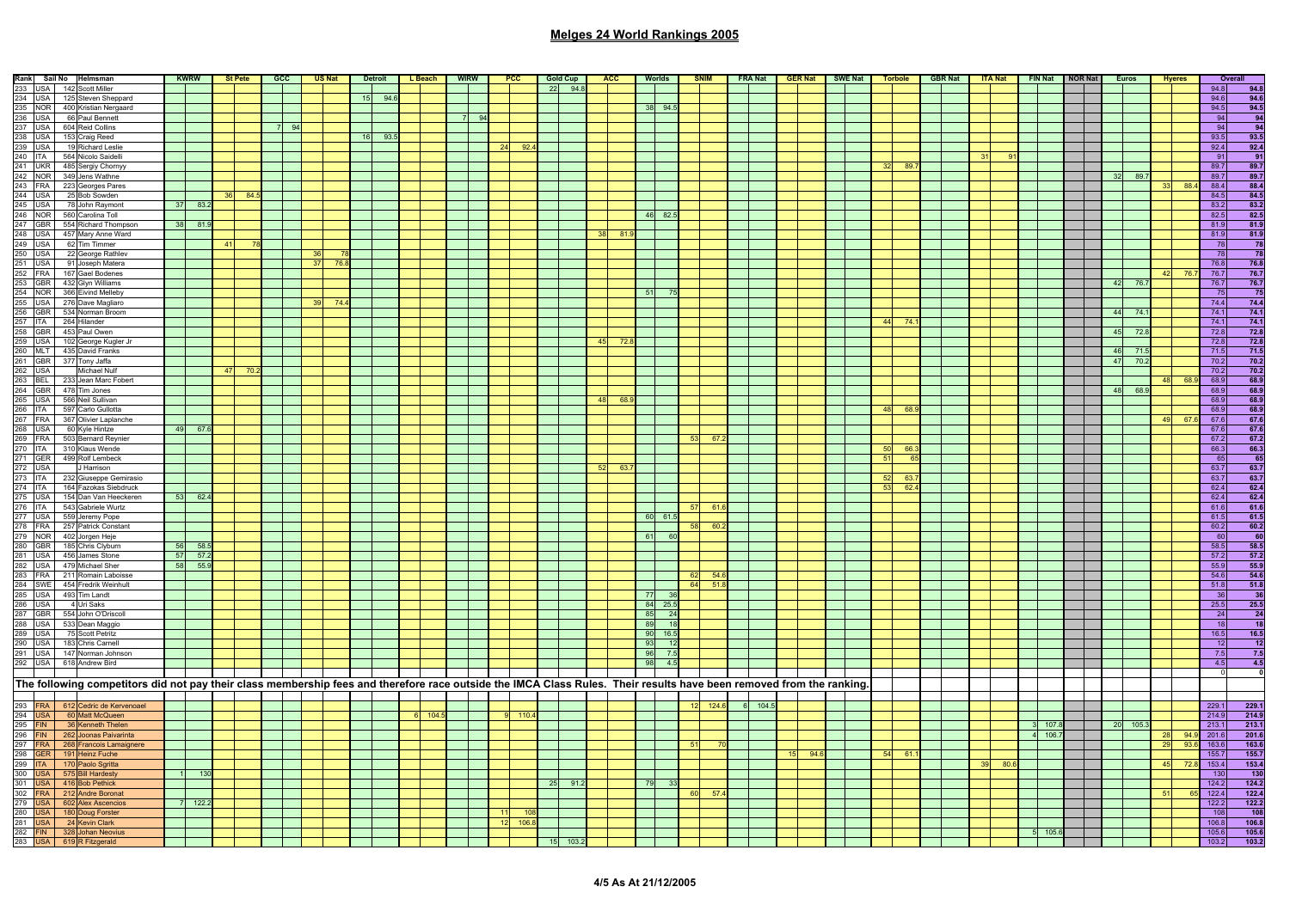| $\frac{\textbf{Rank} \quad \textbf{Sail No} \quad \textbf{Helmsman}}{234 \quad \text{USA} \quad 142 \quad \text{Sotovt Miller}}$ $\frac{234 \quad \text{USA} \quad 125 \quad \text{Sleven Shepard}}{235 \quad \text{NOR} \quad 400 \quad \text{Kristian Nergaard}}$ $\frac{236 \quad \text{USA} \quad 604 \quad \text{Red Coulons}}{237 \quad \text{USA} \quad 198 \quad \text{Red}\end{array}$ \n $\frac{237 \quad \text{USA} \quad 198 \quad \text{Red Coulons}}{239$ | <b>KWRW</b> |    | <b>St Pete</b> | <b>GCC</b> |          | <b>US Nat</b> |    | <b>Detroit</b> | L Beach | <b>WIRW</b> |       | <b>PCC</b>                        | <b>Gold Cup</b> | <b>ACC</b>      |      | Worlds  |                | <b>SNIM</b> |           | FRA Nat GER Nat | SWE Nat | <b>Torbole</b> |           | GBR Nat |    | <b>ITA Nat</b> |             | FIN Nat NOR Nat |             | <b>Euros</b> |     | <b>Hyeres</b> |              | Overall                                                       |
|-------------------------------------------------------------------------------------------------------------------------------------------------------------------------------------------------------------------------------------------------------------------------------------------------------------------------------------------------------------------------------------------------------------------------------------------------------------------------|-------------|----|----------------|------------|----------|---------------|----|----------------|---------|-------------|-------|-----------------------------------|-----------------|-----------------|------|---------|----------------|-------------|-----------|-----------------|---------|----------------|-----------|---------|----|----------------|-------------|-----------------|-------------|--------------|-----|---------------|--------------|---------------------------------------------------------------|
|                                                                                                                                                                                                                                                                                                                                                                                                                                                                         |             |    |                |            |          |               |    |                |         |             |       |                                   | 22 94.8         |                 |      |         |                |             |           |                 |         |                |           |         |    |                |             |                 |             |              |     |               | 94.8         | 94.8                                                          |
|                                                                                                                                                                                                                                                                                                                                                                                                                                                                         |             |    |                |            |          |               | 15 | 94.6           |         |             |       |                                   |                 |                 |      |         |                |             |           |                 |         |                |           |         |    |                |             |                 |             |              |     |               | 94.6         | 94.6                                                          |
|                                                                                                                                                                                                                                                                                                                                                                                                                                                                         |             |    |                |            |          |               |    |                |         |             |       |                                   |                 |                 |      | 38 94.5 |                |             |           |                 |         |                |           |         |    |                |             |                 |             |              |     |               | 94.5         | $\frac{94.5}{94}$                                             |
|                                                                                                                                                                                                                                                                                                                                                                                                                                                                         |             |    |                |            |          |               |    |                |         |             | $Q_4$ |                                   |                 |                 |      |         |                |             |           |                 |         |                |           |         |    |                |             |                 |             |              |     |               | 94           |                                                               |
|                                                                                                                                                                                                                                                                                                                                                                                                                                                                         |             |    |                |            | $\alpha$ |               |    |                |         |             |       |                                   |                 |                 |      |         |                |             |           |                 |         |                |           |         |    |                |             |                 |             |              |     |               | 94           | $-94$                                                         |
|                                                                                                                                                                                                                                                                                                                                                                                                                                                                         |             |    |                |            |          |               | 16 | 93.5           |         |             |       |                                   |                 |                 |      |         |                |             |           |                 |         |                |           |         |    |                |             |                 |             |              |     |               | 93.5         | 93.5                                                          |
|                                                                                                                                                                                                                                                                                                                                                                                                                                                                         |             |    |                |            |          |               |    |                |         |             |       | 24<br>92                          |                 |                 |      |         |                |             |           |                 |         |                |           |         |    |                |             |                 |             |              |     |               | 92.4<br>91   | 92.4<br>$-91$                                                 |
|                                                                                                                                                                                                                                                                                                                                                                                                                                                                         |             |    |                |            |          |               |    |                |         |             |       |                                   |                 |                 |      |         |                |             |           |                 |         | 32             | 89.       |         |    |                |             |                 |             |              |     |               | 89.7         | 89.7                                                          |
|                                                                                                                                                                                                                                                                                                                                                                                                                                                                         |             |    |                |            |          |               |    |                |         |             |       |                                   |                 |                 |      |         |                |             |           |                 |         |                |           |         |    |                |             |                 | 32          | 89.7         |     |               | 89.7         | 89.7                                                          |
|                                                                                                                                                                                                                                                                                                                                                                                                                                                                         |             |    |                |            |          |               |    |                |         |             |       |                                   |                 |                 |      |         |                |             |           |                 |         |                |           |         |    |                |             |                 |             |              |     | 88.4          | 88.4         |                                                               |
|                                                                                                                                                                                                                                                                                                                                                                                                                                                                         |             |    | 84.5           |            |          |               |    |                |         |             |       |                                   |                 |                 |      |         |                |             |           |                 |         |                |           |         |    |                |             |                 |             |              |     |               | 84.5         | $\frac{88.4}{84.5}$                                           |
|                                                                                                                                                                                                                                                                                                                                                                                                                                                                         | 37 83.2     |    |                |            |          |               |    |                |         |             |       |                                   |                 |                 |      |         |                |             |           |                 |         |                |           |         |    |                |             |                 |             |              |     |               | 83.2         | 83.2                                                          |
|                                                                                                                                                                                                                                                                                                                                                                                                                                                                         |             |    |                |            |          |               |    |                |         |             |       |                                   |                 |                 |      | 46 82.5 |                |             |           |                 |         |                |           |         |    |                |             |                 |             |              |     |               | 82.5         | 82.5                                                          |
|                                                                                                                                                                                                                                                                                                                                                                                                                                                                         | 38 81.9     |    |                |            |          |               |    |                |         |             |       |                                   |                 |                 |      |         |                |             |           |                 |         |                |           |         |    |                |             |                 |             |              |     |               | 81.9         | 81.9                                                          |
|                                                                                                                                                                                                                                                                                                                                                                                                                                                                         |             |    |                |            |          |               |    |                |         |             |       |                                   |                 | 38 <sup>1</sup> | 81.  |         |                |             |           |                 |         |                |           |         |    |                |             |                 |             |              |     |               | 81.9         | 81.9                                                          |
|                                                                                                                                                                                                                                                                                                                                                                                                                                                                         |             | 41 | 78             |            |          |               |    |                |         |             |       |                                   |                 |                 |      |         |                |             |           |                 |         |                |           |         |    |                |             |                 |             |              |     |               | $\sqrt{78}$  | $\frac{78}{78}$                                               |
|                                                                                                                                                                                                                                                                                                                                                                                                                                                                         |             |    |                |            |          |               |    |                |         |             |       |                                   |                 |                 |      |         |                |             |           |                 |         |                |           |         |    |                |             |                 |             |              |     |               | 78           |                                                               |
|                                                                                                                                                                                                                                                                                                                                                                                                                                                                         |             |    |                |            |          | 76.8          |    |                |         |             |       |                                   |                 |                 |      |         |                |             |           |                 |         |                |           |         |    |                |             |                 |             |              |     |               | 76.8         | $\frac{76.8}{76.7}$                                           |
|                                                                                                                                                                                                                                                                                                                                                                                                                                                                         |             |    |                |            |          |               |    |                |         |             |       |                                   |                 |                 |      |         |                |             |           |                 |         |                |           |         |    |                |             |                 |             |              | 42  | 76.7          | 76.7         |                                                               |
|                                                                                                                                                                                                                                                                                                                                                                                                                                                                         |             |    |                |            |          |               |    |                |         |             |       |                                   |                 |                 |      |         |                |             |           |                 |         |                |           |         |    |                |             |                 |             | 42 76.7      |     |               | 76.7         | 76.7                                                          |
|                                                                                                                                                                                                                                                                                                                                                                                                                                                                         |             |    |                |            |          |               |    |                |         |             |       |                                   |                 |                 |      | 51      |                |             |           |                 |         |                |           |         |    |                |             |                 |             |              |     |               | 75           | 75                                                            |
|                                                                                                                                                                                                                                                                                                                                                                                                                                                                         |             |    |                |            |          | 74.4          |    |                |         |             |       |                                   |                 |                 |      |         |                |             |           |                 |         |                |           |         |    |                |             |                 |             |              |     |               | 74.4         | 74.4                                                          |
|                                                                                                                                                                                                                                                                                                                                                                                                                                                                         |             |    |                |            |          |               |    |                |         |             |       |                                   |                 |                 |      |         |                |             |           |                 |         |                |           |         |    |                |             |                 |             | 44 74.1      |     |               | 74.1         | 74.1                                                          |
|                                                                                                                                                                                                                                                                                                                                                                                                                                                                         |             |    |                |            |          |               |    |                |         |             |       |                                   |                 |                 |      |         |                |             |           |                 |         | 44             | 74        |         |    |                |             |                 |             |              |     |               | 74.1         | 74.1                                                          |
|                                                                                                                                                                                                                                                                                                                                                                                                                                                                         |             |    |                |            |          |               |    |                |         |             |       |                                   |                 |                 |      |         |                |             |           |                 |         |                |           |         |    |                |             |                 | 45          | 72.8         |     |               | 72.8         | 72.8                                                          |
| 245 USA 78 John Raymont<br>247 GBR 560 Carolina Toll<br>247 GBR 554 Richard Thompson<br>248 USA 457 Mare Ward American<br>250 USA 262 Tim Timmer<br>250 USA 262 Circum Timmer<br>250 USA 29 Clocorge Rathley<br>252 GBR 432 Gbyn Williams<br>                                                                                                                                                                                                                           |             |    |                |            |          |               |    |                |         |             |       |                                   |                 | 45              | 72.3 |         |                |             |           |                 |         |                |           |         |    |                |             |                 |             | 71.5         |     |               | 72.8         | $\frac{72.8}{71.5}$                                           |
|                                                                                                                                                                                                                                                                                                                                                                                                                                                                         |             |    |                |            |          |               |    |                |         |             |       |                                   |                 |                 |      |         |                |             |           |                 |         |                |           |         |    |                |             |                 | 46<br>$-47$ | 70.2         |     |               | 71.5<br>70.2 | 70.2                                                          |
|                                                                                                                                                                                                                                                                                                                                                                                                                                                                         |             | 47 | 70             |            |          |               |    |                |         |             |       |                                   |                 |                 |      |         |                |             |           |                 |         |                |           |         |    |                |             |                 |             |              |     |               | 70.2         | 70.2                                                          |
|                                                                                                                                                                                                                                                                                                                                                                                                                                                                         |             |    |                |            |          |               |    |                |         |             |       |                                   |                 |                 |      |         |                |             |           |                 |         |                |           |         |    |                |             |                 |             |              | 48  | 68.9          | 68.9         | 68.9                                                          |
|                                                                                                                                                                                                                                                                                                                                                                                                                                                                         |             |    |                |            |          |               |    |                |         |             |       |                                   |                 |                 |      |         |                |             |           |                 |         |                |           |         |    |                |             |                 | 48          | 68.9         |     |               | 68.9         | 68.9                                                          |
|                                                                                                                                                                                                                                                                                                                                                                                                                                                                         |             |    |                |            |          |               |    |                |         |             |       |                                   |                 | 48 68.          |      |         |                |             |           |                 |         |                |           |         |    |                |             |                 |             |              |     |               | 68.9         | 68.9                                                          |
|                                                                                                                                                                                                                                                                                                                                                                                                                                                                         |             |    |                |            |          |               |    |                |         |             |       |                                   |                 |                 |      |         |                |             |           |                 |         | 48             | 68.       |         |    |                |             |                 |             |              |     |               | 68.9         | 68.9                                                          |
|                                                                                                                                                                                                                                                                                                                                                                                                                                                                         |             |    |                |            |          |               |    |                |         |             |       |                                   |                 |                 |      |         |                |             |           |                 |         |                |           |         |    |                |             |                 |             |              | 49  | 67.6          | 67.6         | 67.6                                                          |
|                                                                                                                                                                                                                                                                                                                                                                                                                                                                         | 49 67.6     |    |                |            |          |               |    |                |         |             |       |                                   |                 |                 |      |         |                |             |           |                 |         |                |           |         |    |                |             |                 |             |              |     |               | 67.6         | 67.6                                                          |
|                                                                                                                                                                                                                                                                                                                                                                                                                                                                         |             |    |                |            |          |               |    |                |         |             |       |                                   |                 |                 |      |         |                | - 53<br>67  |           |                 |         |                |           |         |    |                |             |                 |             |              |     |               | 67.2         | 67.2                                                          |
|                                                                                                                                                                                                                                                                                                                                                                                                                                                                         |             |    |                |            |          |               |    |                |         |             |       |                                   |                 |                 |      |         |                |             |           |                 |         | 50             | $-66.$    |         |    |                |             |                 |             |              |     |               | 66.3         | 66.3                                                          |
|                                                                                                                                                                                                                                                                                                                                                                                                                                                                         |             |    |                |            |          |               |    |                |         |             |       |                                   |                 |                 |      |         |                |             |           |                 |         | 51             | <u>ិស</u> |         |    |                |             |                 |             |              |     |               | 65           | $-65$                                                         |
| 272 USA<br>J Harrison                                                                                                                                                                                                                                                                                                                                                                                                                                                   |             |    |                |            |          |               |    |                |         |             |       |                                   |                 | 52              | 63.  |         |                |             |           |                 |         |                |           |         |    |                |             |                 |             |              |     |               | 63.7         | 63.7                                                          |
| 273 ITA 232 Giuseppe Gemirasio<br>274 ITA 164 Fazokas Siebdruck                                                                                                                                                                                                                                                                                                                                                                                                         |             |    |                |            |          |               |    |                |         |             |       |                                   |                 |                 |      |         |                |             |           |                 |         | -52            | 63        |         |    |                |             |                 |             |              |     |               | 63.7         | 63.7                                                          |
|                                                                                                                                                                                                                                                                                                                                                                                                                                                                         |             |    |                |            |          |               |    |                |         |             |       |                                   |                 |                 |      |         |                |             |           |                 |         | 53             | 62.4      |         |    |                |             |                 |             |              |     |               | 62.4         | 62.4                                                          |
| 154 Dan Van Heeckeren                                                                                                                                                                                                                                                                                                                                                                                                                                                   | 53 62.4     |    |                |            |          |               |    |                |         |             |       |                                   |                 |                 |      |         |                |             |           |                 |         |                |           |         |    |                |             |                 |             |              |     |               | 62.4         | 62.4                                                          |
|                                                                                                                                                                                                                                                                                                                                                                                                                                                                         |             |    |                |            |          |               |    |                |         |             |       |                                   |                 |                 |      |         |                | 61<br>57    |           |                 |         |                |           |         |    |                |             |                 |             |              |     |               | 61.6         | $\frac{61.6}{61.5}$                                           |
|                                                                                                                                                                                                                                                                                                                                                                                                                                                                         |             |    |                |            |          |               |    |                |         |             |       |                                   |                 |                 |      | 60 61.5 |                |             |           |                 |         |                |           |         |    |                |             |                 |             |              |     |               | 61.5         |                                                               |
|                                                                                                                                                                                                                                                                                                                                                                                                                                                                         |             |    |                |            |          |               |    |                |         |             |       |                                   |                 |                 |      |         |                | 58<br>60.2  |           |                 |         |                |           |         |    |                |             |                 |             |              |     |               | 60.2         | $\begin{array}{r} 60.2 \\ 60 \end{array}$                     |
|                                                                                                                                                                                                                                                                                                                                                                                                                                                                         |             |    |                |            |          |               |    |                |         |             |       |                                   |                 |                 |      | 61 60   |                |             |           |                 |         |                |           |         |    |                |             |                 |             |              |     |               | $-60$        |                                                               |
|                                                                                                                                                                                                                                                                                                                                                                                                                                                                         | 56 58.5     |    |                |            |          |               |    |                |         |             |       |                                   |                 |                 |      |         |                |             |           |                 |         |                |           |         |    |                |             |                 |             |              |     |               | 58.5         | 58.5<br>57.2                                                  |
|                                                                                                                                                                                                                                                                                                                                                                                                                                                                         | 57 57.2     |    |                |            |          |               |    |                |         |             |       |                                   |                 |                 |      |         |                |             |           |                 |         |                |           |         |    |                |             |                 |             |              |     |               | 57.2<br>55.9 | 55.9                                                          |
|                                                                                                                                                                                                                                                                                                                                                                                                                                                                         | 58 55.9     |    |                |            |          |               |    |                |         |             |       |                                   |                 |                 |      |         |                | 62<br>54.   |           |                 |         |                |           |         |    |                |             |                 |             |              |     |               | 54.6         | 54.6                                                          |
|                                                                                                                                                                                                                                                                                                                                                                                                                                                                         |             |    |                |            |          |               |    |                |         |             |       |                                   |                 |                 |      |         |                | 64<br>51.   |           |                 |         |                |           |         |    |                |             |                 |             |              |     |               | 51.8         |                                                               |
| $\begin{tabular}{ c c c c } \hline \multicolumn{1}{ c }{\textbf{7A}} & \multicolumn{1}{ c }{\textbf{16A}} & \textbf{5a2} \\ \hline \multicolumn{1}{ c }{\textbf{276} & \textbf{15A}} & \textbf{15A} & \textbf{16a1} & \textbf{0a1} & \textbf{16e6} & \textbf{6e6} \\ \hline \multicolumn{1}{ c }{\textbf{277} & \textbf{1SA} & \textbf{55Q} & \textbf{I} & \textbf{S1Q} & \textbf{I} & \textbf{16e6} \\ \$                                                              |             |    |                |            |          |               |    |                |         |             |       |                                   |                 |                 |      | 77      | $\frac{36}{3}$ |             |           |                 |         |                |           |         |    |                |             |                 |             |              |     |               | 36           | $\begin{array}{r} 51.8 \\ \underline{36} \\ 25.5 \end{array}$ |
|                                                                                                                                                                                                                                                                                                                                                                                                                                                                         |             |    |                |            |          |               |    |                |         |             |       |                                   |                 |                 |      | 84 25.5 |                |             |           |                 |         |                |           |         |    |                |             |                 |             |              |     |               | 25.5         |                                                               |
|                                                                                                                                                                                                                                                                                                                                                                                                                                                                         |             |    |                |            |          |               |    |                |         |             |       |                                   |                 |                 |      | 85 24   |                |             |           |                 |         |                |           |         |    |                |             |                 |             |              |     |               | 24           | - 24                                                          |
| 267 USA 533 Dean Maggio<br>289 USA 533 Dean Maggio<br>289 USA 75 Scott Petritz<br>290 USA 143 Chris Carnell<br>292 USA 447 Norman Johnson<br>292 USA 618 Andrew Bird                                                                                                                                                                                                                                                                                                    |             |    |                |            |          |               |    |                |         |             |       |                                   |                 |                 |      | 89      | 18             |             |           |                 |         |                |           |         |    |                |             |                 |             |              |     |               | 18           | 18                                                            |
|                                                                                                                                                                                                                                                                                                                                                                                                                                                                         |             |    |                |            |          |               |    |                |         |             |       |                                   |                 |                 |      | 90 16.5 |                |             |           |                 |         |                |           |         |    |                |             |                 |             |              |     |               | 16.5         | 16.5                                                          |
|                                                                                                                                                                                                                                                                                                                                                                                                                                                                         |             |    |                |            |          |               |    |                |         |             |       |                                   |                 |                 |      | 93 12   |                |             |           |                 |         |                |           |         |    |                |             |                 |             |              |     |               | 12           | $-12$                                                         |
|                                                                                                                                                                                                                                                                                                                                                                                                                                                                         |             |    |                |            |          |               |    |                |         |             |       |                                   |                 |                 |      | 96      | 7.5            |             |           |                 |         |                |           |         |    |                |             |                 |             |              |     |               | 7.5          | 7.5                                                           |
|                                                                                                                                                                                                                                                                                                                                                                                                                                                                         |             |    |                |            |          |               |    |                |         |             |       |                                   |                 |                 |      | 98      | 4.5            |             |           |                 |         |                |           |         |    |                |             |                 |             |              |     |               | 4.5          | 4.5                                                           |
|                                                                                                                                                                                                                                                                                                                                                                                                                                                                         |             |    |                |            |          |               |    |                |         |             |       |                                   |                 |                 |      |         |                |             |           |                 |         |                |           |         |    |                |             |                 |             |              |     |               |              |                                                               |
| The following competitors did not pay their class membership fees and therefore race outside the IMCA Class Rules. Their results have been removed from the ranking.                                                                                                                                                                                                                                                                                                    |             |    |                |            |          |               |    |                |         |             |       |                                   |                 |                 |      |         |                |             |           |                 |         |                |           |         |    |                |             |                 |             |              |     |               |              |                                                               |
| The following competitors (233)<br>293 FRA 612 Cedric de Kervenoael<br>295 FIN 36 Kenneth Thelen<br>295 FIN 262 Joonas Paivarinta<br>296 FIN 262 Joonas Paivarinta<br>299 GER 191 Heinz Fuche<br>299 ITA 170 Paolo Sgritta<br>300 USA 416 Go                                                                                                                                                                                                                            |             |    |                |            |          |               |    |                |         |             |       |                                   |                 |                 |      |         |                |             |           |                 |         |                |           |         |    |                |             |                 |             |              |     |               |              |                                                               |
|                                                                                                                                                                                                                                                                                                                                                                                                                                                                         |             |    |                |            |          |               |    |                |         |             |       |                                   |                 |                 |      |         |                | 124.6       | $6$ 104.5 |                 |         |                |           |         |    |                |             |                 |             |              |     |               | 229.1        | 229.1                                                         |
|                                                                                                                                                                                                                                                                                                                                                                                                                                                                         |             |    |                |            |          |               |    |                | 6 104.5 |             |       | 110.4                             |                 |                 |      |         |                |             |           |                 |         |                |           |         |    |                |             |                 |             |              |     |               | 214.9        | 214.9                                                         |
|                                                                                                                                                                                                                                                                                                                                                                                                                                                                         |             |    |                |            |          |               |    |                |         |             |       |                                   |                 |                 |      |         |                |             |           |                 |         |                |           |         |    |                | 107.8       |                 |             | 20 105.3     |     |               | 213.1        | 213.1                                                         |
|                                                                                                                                                                                                                                                                                                                                                                                                                                                                         |             |    |                |            |          |               |    |                |         |             |       |                                   |                 |                 |      |         |                |             |           |                 |         |                |           |         |    |                | 4 106.7     |                 |             |              | 28  |               | 94.9 201.6   | 201.6                                                         |
|                                                                                                                                                                                                                                                                                                                                                                                                                                                                         |             |    |                |            |          |               |    |                |         |             |       |                                   |                 |                 |      |         | $-51$          |             |           |                 |         |                |           |         |    |                |             |                 |             |              | 29  | 93.6          | 163.6        | 163.6                                                         |
|                                                                                                                                                                                                                                                                                                                                                                                                                                                                         |             |    |                |            |          |               |    |                |         |             |       |                                   |                 |                 |      |         |                |             |           | 15 94.6         |         | $54$ 61.       |           |         |    |                |             |                 |             |              |     |               | 155.7        | 155.7                                                         |
|                                                                                                                                                                                                                                                                                                                                                                                                                                                                         |             |    |                |            |          |               |    |                |         |             |       |                                   |                 |                 |      |         |                |             |           |                 |         |                |           |         | 39 | 80f            |             |                 |             |              | 45  |               | 72.8 153.4   | 153.4                                                         |
|                                                                                                                                                                                                                                                                                                                                                                                                                                                                         | $-130$      |    |                |            |          |               |    |                |         |             |       |                                   |                 |                 |      |         |                |             |           |                 |         |                |           |         |    |                |             |                 |             |              |     |               | 130          | 130                                                           |
|                                                                                                                                                                                                                                                                                                                                                                                                                                                                         |             |    |                |            |          |               |    |                |         |             |       |                                   | 25 91.2         |                 |      | 79      | - 33           |             |           |                 |         |                |           |         |    |                |             |                 |             |              |     |               | 124.2        | 124.2                                                         |
|                                                                                                                                                                                                                                                                                                                                                                                                                                                                         |             |    |                |            |          |               |    |                |         |             |       |                                   |                 |                 |      |         |                | 60 57.      |           |                 |         |                |           |         |    |                |             |                 |             |              | -51 | 65            | 122.4        | 122.4                                                         |
|                                                                                                                                                                                                                                                                                                                                                                                                                                                                         | 122.2       |    |                |            |          |               |    |                |         |             |       |                                   |                 |                 |      |         |                |             |           |                 |         |                |           |         |    |                |             |                 |             |              |     |               | 122.2        | 122.2                                                         |
|                                                                                                                                                                                                                                                                                                                                                                                                                                                                         |             |    |                |            |          |               |    |                |         |             |       | 10 <sub>i</sub><br>106.8<br>$-12$ |                 |                 |      |         |                |             |           |                 |         |                |           |         |    |                |             |                 |             |              |     |               | 108<br>106.8 | $\frac{108}{106.8}$                                           |
|                                                                                                                                                                                                                                                                                                                                                                                                                                                                         |             |    |                |            |          |               |    |                |         |             |       |                                   |                 |                 |      |         |                |             |           |                 |         |                |           |         |    |                | $5 - 105.6$ |                 |             |              |     |               | 105.6        | 105.6                                                         |
|                                                                                                                                                                                                                                                                                                                                                                                                                                                                         |             |    |                |            |          |               |    |                |         |             |       |                                   | 103.2           |                 |      |         |                |             |           |                 |         |                |           |         |    |                |             |                 |             |              |     |               | 103.2        | 103.2                                                         |
|                                                                                                                                                                                                                                                                                                                                                                                                                                                                         |             |    |                |            |          |               |    |                |         |             |       |                                   |                 |                 |      |         |                |             |           |                 |         |                |           |         |    |                |             |                 |             |              |     |               |              |                                                               |